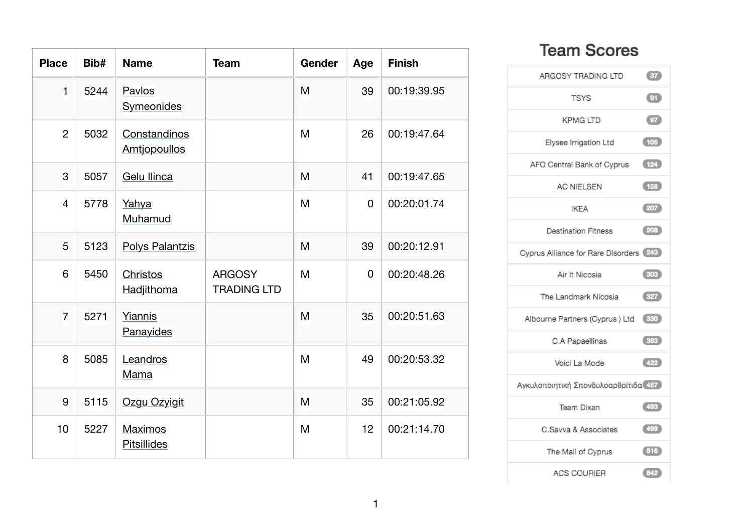| <b>Place</b>   | Bib# | <b>Name</b>                         | <b>Team</b>                         | Gender | Age | <b>Finish</b> |
|----------------|------|-------------------------------------|-------------------------------------|--------|-----|---------------|
| $\mathbf{1}$   | 5244 | Pavlos<br>Symeonides                |                                     | M      | 39  | 00:19:39.95   |
| $\overline{2}$ | 5032 | Constandinos<br><b>Amtjopoullos</b> |                                     | M      | 26  | 00:19:47.64   |
| 3              | 5057 | <b>Gelu Ilinca</b>                  |                                     | M      | 41  | 00:19:47.65   |
| $\overline{4}$ | 5778 | Yahya<br>Muhamud                    |                                     | M      | 0   | 00:20:01.74   |
| 5              | 5123 | <b>Polys Palantzis</b>              |                                     | M      | 39  | 00:20:12.91   |
| 6              | 5450 | Christos<br>Hadjithoma              | <b>ARGOSY</b><br><b>TRADING LTD</b> | M      | 0   | 00:20:48.26   |
| $\overline{7}$ | 5271 | Yiannis<br>Panayides                |                                     | M      | 35  | 00:20:51.63   |
| 8              | 5085 | Leandros<br>Mama                    |                                     | M      | 49  | 00:20:53.32   |
| 9              | 5115 | Ozgu Ozyigit                        |                                     | M      | 35  | 00:21:05.92   |
| 10             | 5227 | Maximos<br><b>Pitsillides</b>       |                                     | M      | 12  | 00:21:14.70   |

## **Team Scores**

| ARGOSY TRADING LTD                     | $\left(37\right)$              |
|----------------------------------------|--------------------------------|
| <b>TSYS</b>                            | $\textcircled{\scriptsize{m}}$ |
| <b>KPMG LTD</b>                        | $\overline{c}$                 |
| Elysee Irrigation Ltd                  | (105)                          |
| AFO Central Bank of Cyprus             | (124)                          |
| <b>AC NIELSEN</b>                      | (156)                          |
| <b>IKEA</b>                            | (207)                          |
| <b>Destination Fitness</b>             | (208)                          |
| Cyprus Alliance for Rare Disorders 243 |                                |
| Air It Nicosia                         | (303)                          |
| The Landmark Nicosia                   | (327)                          |
| Albourne Partners (Cyprus ) Ltd 330    |                                |
| C.A Papaellinas                        | (393)                          |
| Voici La Mode                          | (422)                          |
| Αγκυλοποιητική Σπονδυλοαρθρίτιδα 457   |                                |
| Team Dixan                             | (493)                          |
| C.Savva & Associates                   | (499)                          |
| The Mall of Cyprus                     | (516)                          |
| <b>ACS COURIER</b>                     | $\left(542\right)$             |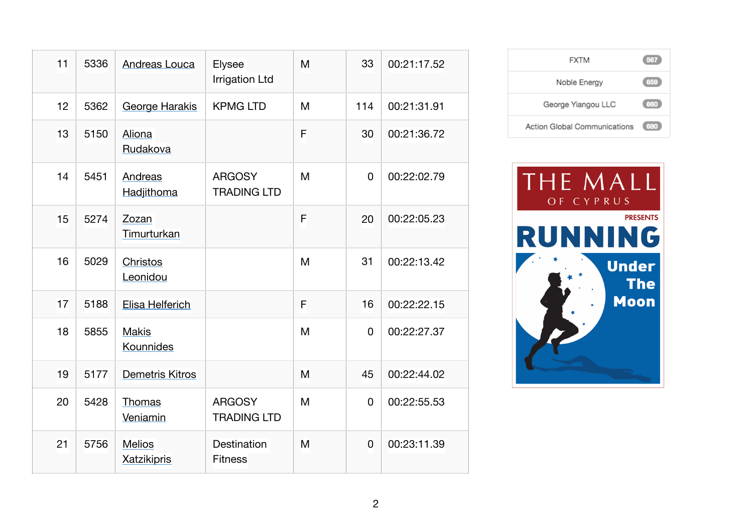| 11 | 5336 | <b>Andreas Louca</b>                | Elysee<br><b>Irrigation Ltd</b>     | M | 33             | 00:21:17.52 |
|----|------|-------------------------------------|-------------------------------------|---|----------------|-------------|
| 12 | 5362 | <b>George Harakis</b>               | <b>KPMG LTD</b>                     | M | 114            | 00:21:31.91 |
| 13 | 5150 | Aliona<br>Rudakova                  |                                     | F | 30             | 00:21:36.72 |
| 14 | 5451 | Andreas<br>Hadjithoma               | <b>ARGOSY</b><br><b>TRADING LTD</b> | M | $\overline{0}$ | 00:22:02.79 |
| 15 | 5274 | Zozan<br>Timurturkan                |                                     | F | 20             | 00:22:05.23 |
| 16 | 5029 | Christos<br>Leonidou                |                                     | M | 31             | 00:22:13.42 |
| 17 | 5188 | Elisa Helferich                     |                                     | F | 16             | 00:22:22.15 |
| 18 | 5855 | <b>Makis</b><br>Kounnides           |                                     | M | 0              | 00:22:27.37 |
| 19 | 5177 | <b>Demetris Kitros</b>              |                                     | M | 45             | 00:22:44.02 |
| 20 | 5428 | Thomas<br>Veniamin                  | <b>ARGOSY</b><br><b>TRADING LTD</b> | M | $\mathbf 0$    | 00:22:55.53 |
| 21 | 5756 | <b>Melios</b><br><b>Xatzikipris</b> | Destination<br><b>Fitness</b>       | M | $\overline{0}$ | 00:23:11.39 |

| <b>FXTM</b>                  | 567 |
|------------------------------|-----|
| Noble Energy                 | 659 |
| George Yiangou LLC           | 660 |
| Action Global Communications | 680 |

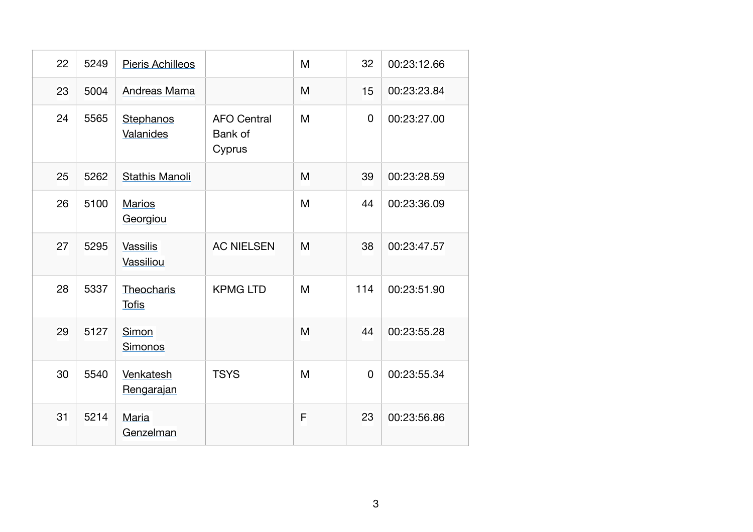| 22 | 5249 | <b>Pieris Achilleos</b>      |                                         | M | 32             | 00:23:12.66 |
|----|------|------------------------------|-----------------------------------------|---|----------------|-------------|
| 23 | 5004 | Andreas Mama                 |                                         | M | 15             | 00:23:23.84 |
| 24 | 5565 | Stephanos<br>Valanides       | <b>AFO Central</b><br>Bank of<br>Cyprus | M | $\overline{0}$ | 00:23:27.00 |
| 25 | 5262 | <b>Stathis Manoli</b>        |                                         | M | 39             | 00:23:28.59 |
| 26 | 5100 | <b>Marios</b><br>Georgiou    |                                         | M | 44             | 00:23:36.09 |
| 27 | 5295 | <b>Vassilis</b><br>Vassiliou | <b>AC NIELSEN</b>                       | M | 38             | 00:23:47.57 |
| 28 | 5337 | Theocharis<br><b>Tofis</b>   | <b>KPMG LTD</b>                         | M | 114            | 00:23:51.90 |
| 29 | 5127 | Simon<br>Simonos             |                                         | M | 44             | 00:23:55.28 |
| 30 | 5540 | Venkatesh<br>Rengarajan      | <b>TSYS</b>                             | M | $\overline{0}$ | 00:23:55.34 |
| 31 | 5214 | Maria<br>Genzelman           |                                         | F | 23             | 00:23:56.86 |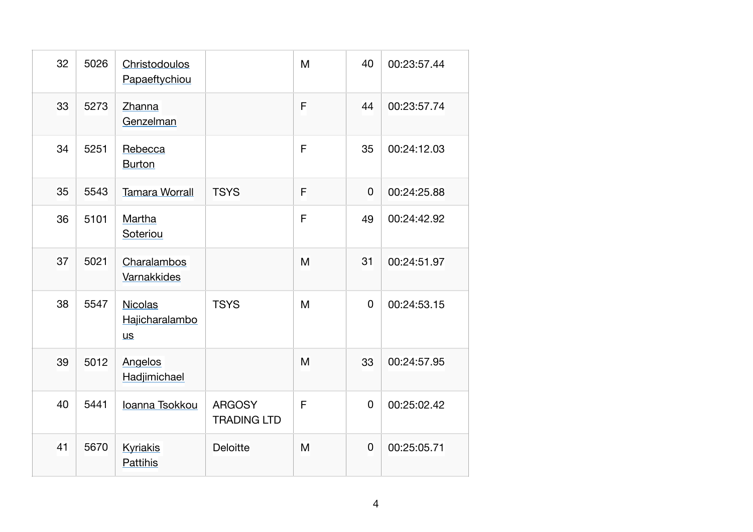| 32 | 5026 | Christodoulos<br>Papaeftychiou         |                                     | M           | 40             | 00:23:57.44 |
|----|------|----------------------------------------|-------------------------------------|-------------|----------------|-------------|
| 33 | 5273 | Zhanna<br>Genzelman                    |                                     | F           | 44             | 00:23:57.74 |
| 34 | 5251 | Rebecca<br><b>Burton</b>               |                                     | $\mathsf F$ | 35             | 00:24:12.03 |
| 35 | 5543 | <b>Tamara Worrall</b>                  | <b>TSYS</b>                         | F           | $\overline{0}$ | 00:24:25.88 |
| 36 | 5101 | Martha<br>Soteriou                     |                                     | F           | 49             | 00:24:42.92 |
| 37 | 5021 | Charalambos<br>Varnakkides             |                                     | M           | 31             | 00:24:51.97 |
| 38 | 5547 | Nicolas<br>Hajicharalambo<br><u>us</u> | <b>TSYS</b>                         | M           | $\mathbf 0$    | 00:24:53.15 |
| 39 | 5012 | Angelos<br>Hadjimichael                |                                     | M           | 33             | 00:24:57.95 |
| 40 | 5441 | Ioanna Tsokkou                         | <b>ARGOSY</b><br><b>TRADING LTD</b> | F           | $\overline{0}$ | 00:25:02.42 |
| 41 | 5670 | <b>Kyriakis</b><br><b>Pattihis</b>     | <b>Deloitte</b>                     | M           | $\overline{0}$ | 00:25:05.71 |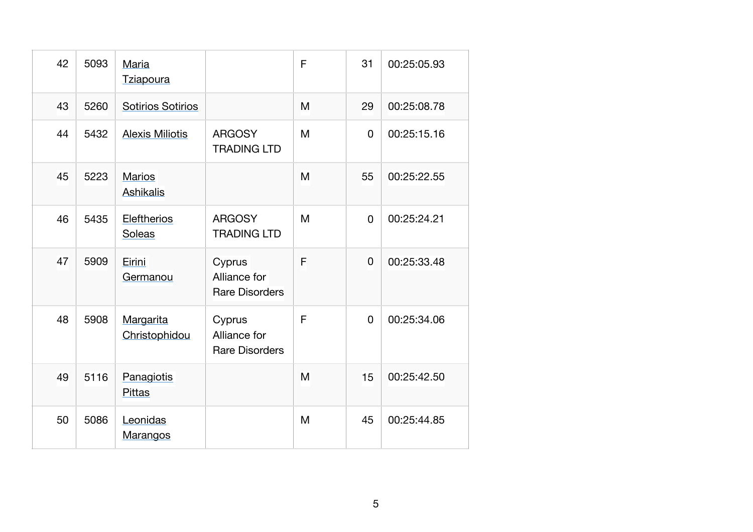| 42 | 5093 | Maria<br><b>Tziapoura</b>         |                                                 | F | 31 | 00:25:05.93 |
|----|------|-----------------------------------|-------------------------------------------------|---|----|-------------|
| 43 | 5260 | <b>Sotirios Sotirios</b>          |                                                 | M | 29 | 00:25:08.78 |
| 44 | 5432 | <b>Alexis Miliotis</b>            | <b>ARGOSY</b><br><b>TRADING LTD</b>             | M | 0  | 00:25:15.16 |
| 45 | 5223 | <b>Marios</b><br><b>Ashikalis</b> |                                                 | M | 55 | 00:25:22.55 |
| 46 | 5435 | <b>Eleftherios</b><br>Soleas      | <b>ARGOSY</b><br><b>TRADING LTD</b>             | M | 0  | 00:25:24.21 |
| 47 | 5909 | Eirini<br>Germanou                | Cyprus<br>Alliance for<br><b>Rare Disorders</b> | F | 0  | 00:25:33.48 |
| 48 | 5908 | Margarita<br>Christophidou        | Cyprus<br>Alliance for<br><b>Rare Disorders</b> | F | 0  | 00:25:34.06 |
| 49 | 5116 | Panagiotis<br><b>Pittas</b>       |                                                 | M | 15 | 00:25:42.50 |
| 50 | 5086 | Leonidas<br><b>Marangos</b>       |                                                 | M | 45 | 00:25:44.85 |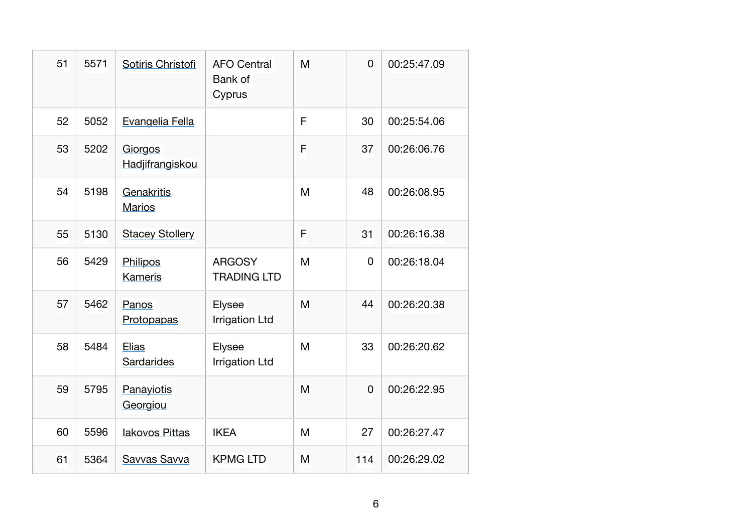| 51 | 5571 | Sotiris Christofi           | <b>AFO Central</b><br>Bank of<br>Cyprus | M | $\overline{0}$ | 00:25:47.09 |
|----|------|-----------------------------|-----------------------------------------|---|----------------|-------------|
| 52 | 5052 | Evangelia Fella             |                                         | F | 30             | 00:25:54.06 |
| 53 | 5202 | Giorgos<br>Hadjifrangiskou  |                                         | F | 37             | 00:26:06.76 |
| 54 | 5198 | Genakritis<br><b>Marios</b> |                                         | M | 48             | 00:26:08.95 |
| 55 | 5130 | <b>Stacey Stollery</b>      |                                         | F | 31             | 00:26:16.38 |
| 56 | 5429 | Philipos<br>Kameris         | <b>ARGOSY</b><br><b>TRADING LTD</b>     | M | $\overline{0}$ | 00:26:18.04 |
| 57 | 5462 | Panos<br>Protopapas         | Elysee<br><b>Irrigation Ltd</b>         | M | 44             | 00:26:20.38 |
| 58 | 5484 | Elias<br>Sardarides         | Elysee<br><b>Irrigation Ltd</b>         | M | 33             | 00:26:20.62 |
| 59 | 5795 | Panayiotis<br>Georgiou      |                                         | M | $\overline{0}$ | 00:26:22.95 |
| 60 | 5596 | lakovos Pittas              | <b>IKEA</b>                             | M | 27             | 00:26:27.47 |
| 61 | 5364 | Savvas Savva                | <b>KPMG LTD</b>                         | M | 114            | 00:26:29.02 |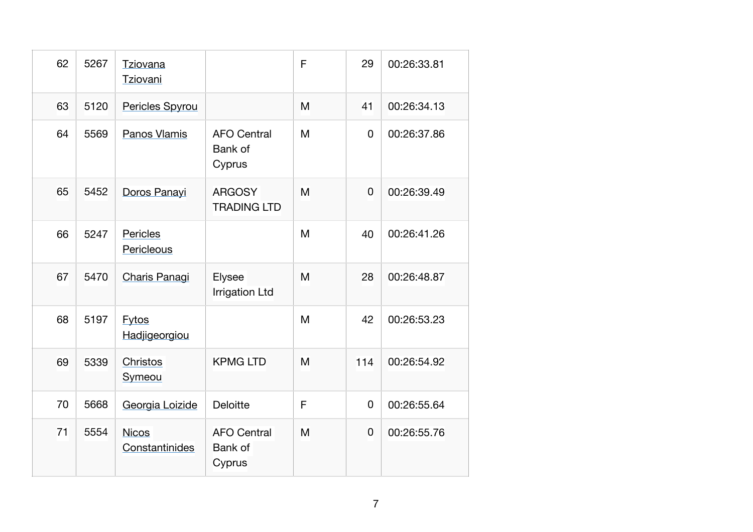| 62 | 5267 | <b>Tziovana</b><br>Tziovani    |                                         | F | 29          | 00:26:33.81 |
|----|------|--------------------------------|-----------------------------------------|---|-------------|-------------|
| 63 | 5120 | Pericles Spyrou                |                                         | M | 41          | 00:26:34.13 |
| 64 | 5569 | Panos Vlamis                   | <b>AFO Central</b><br>Bank of<br>Cyprus | M | $\mathbf 0$ | 00:26:37.86 |
| 65 | 5452 | Doros Panayi                   | <b>ARGOSY</b><br><b>TRADING LTD</b>     | M | $\mathbf 0$ | 00:26:39.49 |
| 66 | 5247 | Pericles<br>Pericleous         |                                         | M | 40          | 00:26:41.26 |
| 67 | 5470 | Charis Panagi                  | Elysee<br><b>Irrigation Ltd</b>         | M | 28          | 00:26:48.87 |
| 68 | 5197 | <b>Fytos</b><br>Hadjigeorgiou  |                                         | M | 42          | 00:26:53.23 |
| 69 | 5339 | Christos<br>Symeou             | <b>KPMG LTD</b>                         | M | 114         | 00:26:54.92 |
| 70 | 5668 | Georgia Loizide                | <b>Deloitte</b>                         | F | $\mathbf 0$ | 00:26:55.64 |
| 71 | 5554 | <b>Nicos</b><br>Constantinides | <b>AFO Central</b><br>Bank of<br>Cyprus | M | 0           | 00:26:55.76 |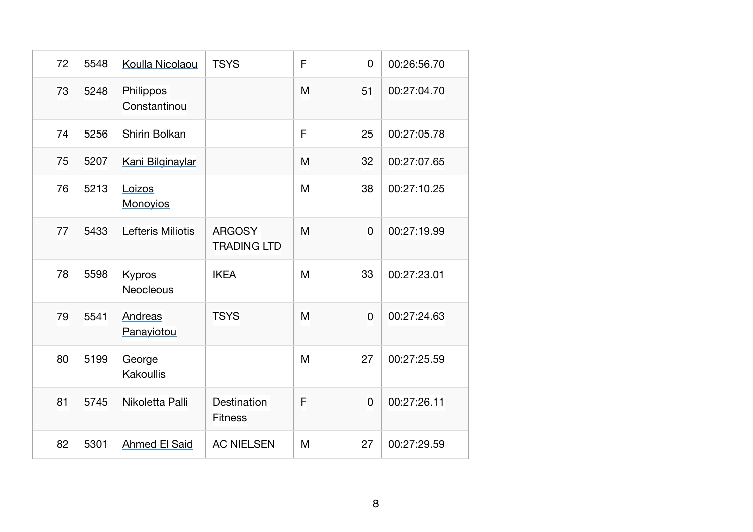| 72 | 5548 | Koulla Nicolaou            | <b>TSYS</b>                         | F | $\overline{0}$ | 00:26:56.70 |
|----|------|----------------------------|-------------------------------------|---|----------------|-------------|
| 73 | 5248 | Philippos<br>Constantinou  |                                     | M | 51             | 00:27:04.70 |
| 74 | 5256 | Shirin Bolkan              |                                     | F | 25             | 00:27:05.78 |
| 75 | 5207 | Kani Bilginaylar           |                                     | M | 32             | 00:27:07.65 |
| 76 | 5213 | Loizos<br><b>Monoyios</b>  |                                     | M | 38             | 00:27:10.25 |
| 77 | 5433 | Lefteris Miliotis          | <b>ARGOSY</b><br><b>TRADING LTD</b> | M | $\overline{0}$ | 00:27:19.99 |
| 78 | 5598 | <b>Kypros</b><br>Neocleous | <b>IKEA</b>                         | M | 33             | 00:27:23.01 |
| 79 | 5541 | Andreas<br>Panayiotou      | <b>TSYS</b>                         | M | 0              | 00:27:24.63 |
| 80 | 5199 | George<br>Kakoullis        |                                     | M | 27             | 00:27:25.59 |
| 81 | 5745 | Nikoletta Palli            | Destination<br><b>Fitness</b>       | F | $\overline{0}$ | 00:27:26.11 |
| 82 | 5301 | <b>Ahmed El Said</b>       | <b>AC NIELSEN</b>                   | M | 27             | 00:27:29.59 |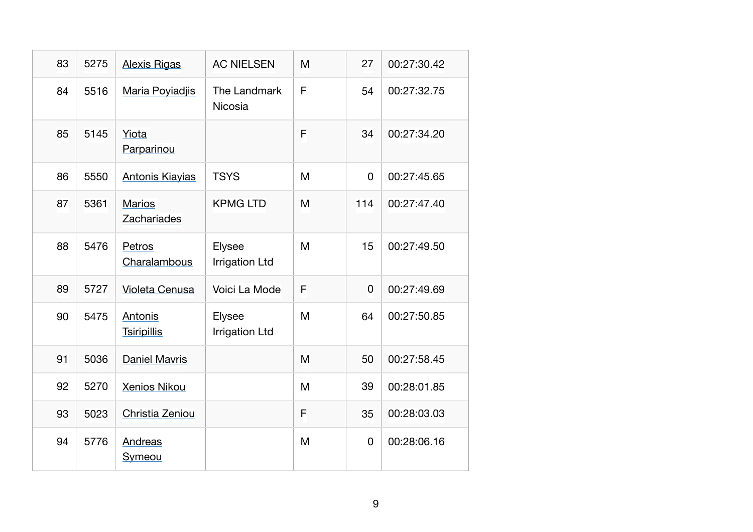| 83 | 5275 | <b>Alexis Rigas</b>           | <b>AC NIELSEN</b>               | M | 27  | 00:27:30.42 |
|----|------|-------------------------------|---------------------------------|---|-----|-------------|
| 84 | 5516 | Maria Poyiadjis               | The Landmark<br>Nicosia         | F | 54  | 00:27:32.75 |
| 85 | 5145 | Yiota<br>Parparinou           |                                 | F | 34  | 00:27:34.20 |
| 86 | 5550 | <b>Antonis Kiayias</b>        | <b>TSYS</b>                     | M | 0   | 00:27:45.65 |
| 87 | 5361 | <b>Marios</b><br>Zachariades  | <b>KPMG LTD</b>                 | M | 114 | 00:27:47.40 |
| 88 | 5476 | Petros<br>Charalambous        | Elysee<br><b>Irrigation Ltd</b> | M | 15  | 00:27:49.50 |
| 89 | 5727 | <b>Violeta Cenusa</b>         | Voici La Mode                   | F | 0   | 00:27:49.69 |
| 90 | 5475 | Antonis<br><b>Tsiripillis</b> | Elysee<br><b>Irrigation Ltd</b> | M | 64  | 00:27:50.85 |
| 91 | 5036 | <b>Daniel Mavris</b>          |                                 | M | 50  | 00:27:58.45 |
| 92 | 5270 | <b>Xenios Nikou</b>           |                                 | M | 39  | 00:28:01.85 |
| 93 | 5023 | Christia Zeniou               |                                 | F | 35  | 00:28:03.03 |
| 94 | 5776 | Andreas<br>Symeou             |                                 | M | 0   | 00:28:06.16 |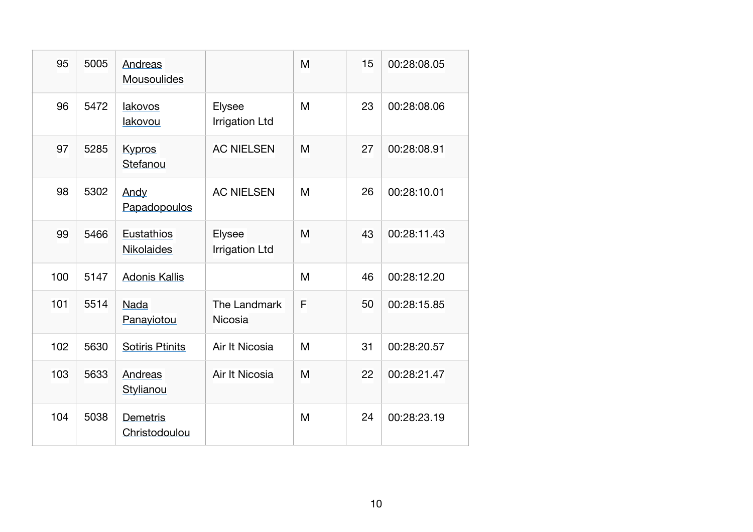| 95  | 5005 | Andreas<br>Mousoulides    |                                 | M | 15 | 00:28:08.05 |
|-----|------|---------------------------|---------------------------------|---|----|-------------|
| 96  | 5472 | lakovos<br>lakovou        | Elysee<br><b>Irrigation Ltd</b> | M | 23 | 00:28:08.06 |
| 97  | 5285 | <b>Kypros</b><br>Stefanou | <b>AC NIELSEN</b>               | M | 27 | 00:28:08.91 |
| 98  | 5302 | Andy<br>Papadopoulos      | <b>AC NIELSEN</b>               | M | 26 | 00:28:10.01 |
| 99  | 5466 | Eustathios<br>Nikolaides  | <b>Elysee</b><br>Irrigation Ltd | M | 43 | 00:28:11.43 |
| 100 | 5147 | <b>Adonis Kallis</b>      |                                 | M | 46 | 00:28:12.20 |
| 101 | 5514 | <b>Nada</b><br>Panayiotou | The Landmark<br><b>Nicosia</b>  | F | 50 | 00:28:15.85 |
| 102 | 5630 | <b>Sotiris Ptinits</b>    | Air It Nicosia                  | M | 31 | 00:28:20.57 |
| 103 | 5633 | Andreas<br>Stylianou      | Air It Nicosia                  | M | 22 | 00:28:21.47 |
| 104 | 5038 | Demetris<br>Christodoulou |                                 | M | 24 | 00:28:23.19 |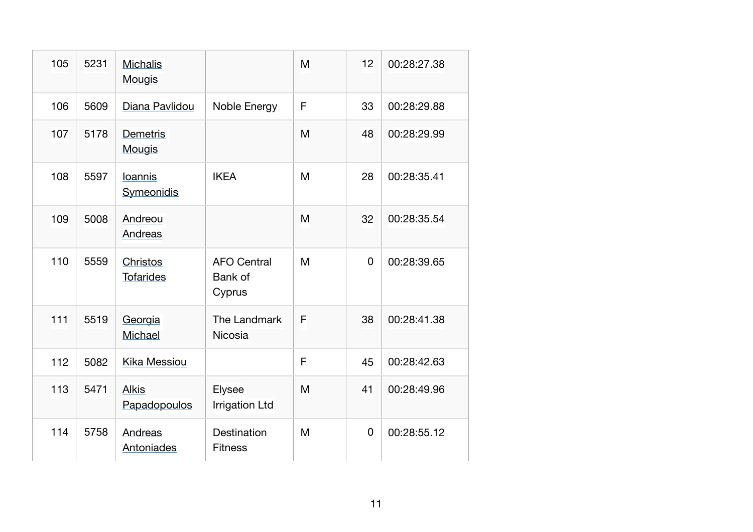| 105 | 5231 | <b>Michalis</b><br><b>Mougis</b> |                                         | M | 12 | 00:28:27.38 |
|-----|------|----------------------------------|-----------------------------------------|---|----|-------------|
| 106 | 5609 | Diana Pavlidou                   | Noble Energy                            | F | 33 | 00:28:29.88 |
| 107 | 5178 | <b>Demetris</b><br><b>Mougis</b> |                                         | M | 48 | 00:28:29.99 |
| 108 | 5597 | Ioannis<br>Symeonidis            | <b>IKEA</b>                             | M | 28 | 00:28:35.41 |
| 109 | 5008 | Andreou<br>Andreas               |                                         | M | 32 | 00:28:35.54 |
| 110 | 5559 | Christos<br><b>Tofarides</b>     | <b>AFO Central</b><br>Bank of<br>Cyprus | M | 0  | 00:28:39.65 |
| 111 | 5519 | Georgia<br>Michael               | The Landmark<br><b>Nicosia</b>          | F | 38 | 00:28:41.38 |
| 112 | 5082 | Kika Messiou                     |                                         | F | 45 | 00:28:42.63 |
| 113 | 5471 | <b>Alkis</b><br>Papadopoulos     | Elysee<br><b>Irrigation Ltd</b>         | M | 41 | 00:28:49.96 |
| 114 | 5758 | Andreas<br>Antoniades            | Destination<br><b>Fitness</b>           | M | 0  | 00:28:55.12 |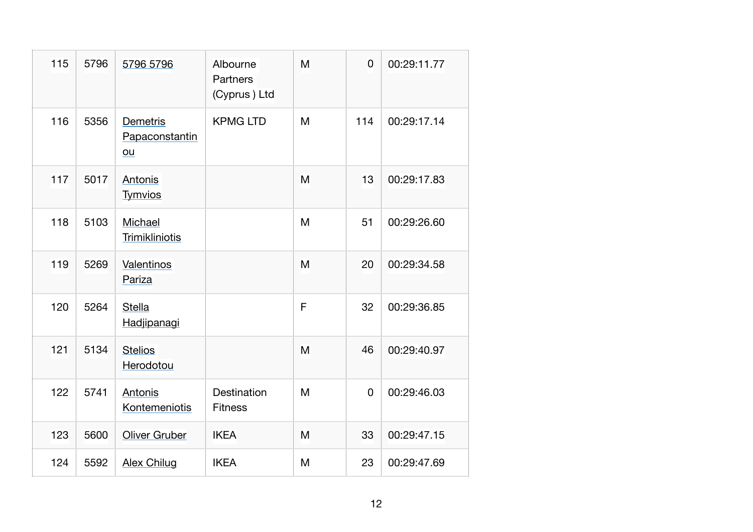| 115 | 5796 | 5796 5796                        | Albourne<br><b>Partners</b><br>(Cyprus) Ltd | M | $\overline{0}$ | 00:29:11.77 |
|-----|------|----------------------------------|---------------------------------------------|---|----------------|-------------|
| 116 | 5356 | Demetris<br>Papaconstantin<br>ou | <b>KPMG LTD</b>                             | M | 114            | 00:29:17.14 |
| 117 | 5017 | Antonis<br><b>Tymvios</b>        |                                             | M | 13             | 00:29:17.83 |
| 118 | 5103 | Michael<br>Trimikliniotis        |                                             | M | 51             | 00:29:26.60 |
| 119 | 5269 | Valentinos<br>Pariza             |                                             | M | 20             | 00:29:34.58 |
| 120 | 5264 | <b>Stella</b><br>Hadjipanagi     |                                             | F | 32             | 00:29:36.85 |
| 121 | 5134 | <b>Stelios</b><br>Herodotou      |                                             | M | 46             | 00:29:40.97 |
| 122 | 5741 | Antonis<br>Kontemeniotis         | Destination<br><b>Fitness</b>               | M | $\mathbf 0$    | 00:29:46.03 |
| 123 | 5600 | <b>Oliver Gruber</b>             | <b>IKEA</b>                                 | M | 33             | 00:29:47.15 |
| 124 | 5592 | <b>Alex Chilug</b>               | <b>IKEA</b>                                 | M | 23             | 00:29:47.69 |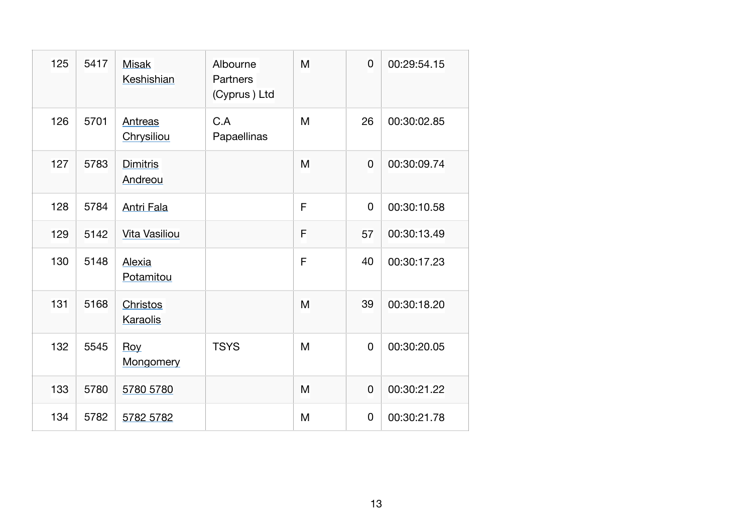| 125 | 5417 | <b>Misak</b><br>Keshishian | Albourne<br>Partners<br>(Cyprus) Ltd | M | 0              | 00:29:54.15 |
|-----|------|----------------------------|--------------------------------------|---|----------------|-------------|
| 126 | 5701 | Antreas<br>Chrysiliou      | C.A<br>Papaellinas                   | M | 26             | 00:30:02.85 |
| 127 | 5783 | <b>Dimitris</b><br>Andreou |                                      | M | $\overline{0}$ | 00:30:09.74 |
| 128 | 5784 | <b>Antri Fala</b>          |                                      | F | 0              | 00:30:10.58 |
| 129 | 5142 | Vita Vasiliou              |                                      | F | 57             | 00:30:13.49 |
| 130 | 5148 | Alexia<br>Potamitou        |                                      | F | 40             | 00:30:17.23 |
| 131 | 5168 | Christos<br>Karaolis       |                                      | M | 39             | 00:30:18.20 |
| 132 | 5545 | Roy<br>Mongomery           | <b>TSYS</b>                          | M | $\mathbf 0$    | 00:30:20.05 |
| 133 | 5780 | 5780 5780                  |                                      | M | 0              | 00:30:21.22 |
| 134 | 5782 | 5782 5782                  |                                      | M | 0              | 00:30:21.78 |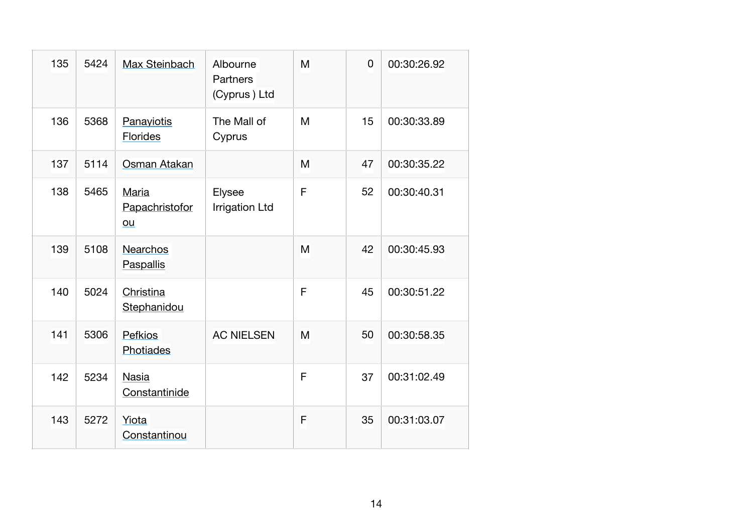| 135 | 5424 | Max Steinbach                 | Albourne<br><b>Partners</b><br>(Cyprus) Ltd | M | $\overline{0}$ | 00:30:26.92 |
|-----|------|-------------------------------|---------------------------------------------|---|----------------|-------------|
| 136 | 5368 | Panayiotis<br><b>Florides</b> | The Mall of<br>Cyprus                       | M | 15             | 00:30:33.89 |
| 137 | 5114 | Osman Atakan                  |                                             | M | 47             | 00:30:35.22 |
| 138 | 5465 | Maria<br>Papachristofor<br>ou | Elysee<br><b>Irrigation Ltd</b>             | F | 52             | 00:30:40.31 |
| 139 | 5108 | <b>Nearchos</b><br>Paspallis  |                                             | M | 42             | 00:30:45.93 |
| 140 | 5024 | Christina<br>Stephanidou      |                                             | F | 45             | 00:30:51.22 |
| 141 | 5306 | <b>Pefkios</b><br>Photiades   | <b>AC NIELSEN</b>                           | M | 50             | 00:30:58.35 |
| 142 | 5234 | <b>Nasia</b><br>Constantinide |                                             | F | 37             | 00:31:02.49 |
| 143 | 5272 | Yiota<br>Constantinou         |                                             | F | 35             | 00:31:03.07 |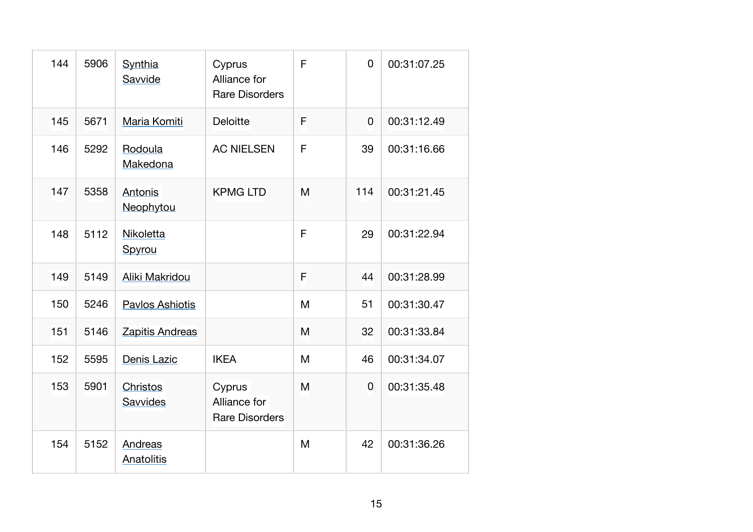| 144 | 5906 | Synthia<br>Savvide          | Cyprus<br>Alliance for<br><b>Rare Disorders</b> | F | $\overline{0}$ | 00:31:07.25 |
|-----|------|-----------------------------|-------------------------------------------------|---|----------------|-------------|
| 145 | 5671 | Maria Komiti                | <b>Deloitte</b>                                 | F | $\overline{0}$ | 00:31:12.49 |
| 146 | 5292 | Rodoula<br>Makedona         | <b>AC NIELSEN</b>                               | F | 39             | 00:31:16.66 |
| 147 | 5358 | Antonis<br>Neophytou        | <b>KPMG LTD</b>                                 | M | 114            | 00:31:21.45 |
| 148 | 5112 | Nikoletta<br>Spyrou         |                                                 | F | 29             | 00:31:22.94 |
| 149 | 5149 | Aliki Makridou              |                                                 | F | 44             | 00:31:28.99 |
| 150 | 5246 | Pavlos Ashiotis             |                                                 | M | 51             | 00:31:30.47 |
| 151 | 5146 | Zapitis Andreas             |                                                 | M | 32             | 00:31:33.84 |
| 152 | 5595 | Denis Lazic                 | <b>IKEA</b>                                     | M | 46             | 00:31:34.07 |
| 153 | 5901 | <b>Christos</b><br>Savvides | Cyprus<br>Alliance for<br><b>Rare Disorders</b> | M | $\mathbf 0$    | 00:31:35.48 |
| 154 | 5152 | Andreas<br>Anatolitis       |                                                 | M | 42             | 00:31:36.26 |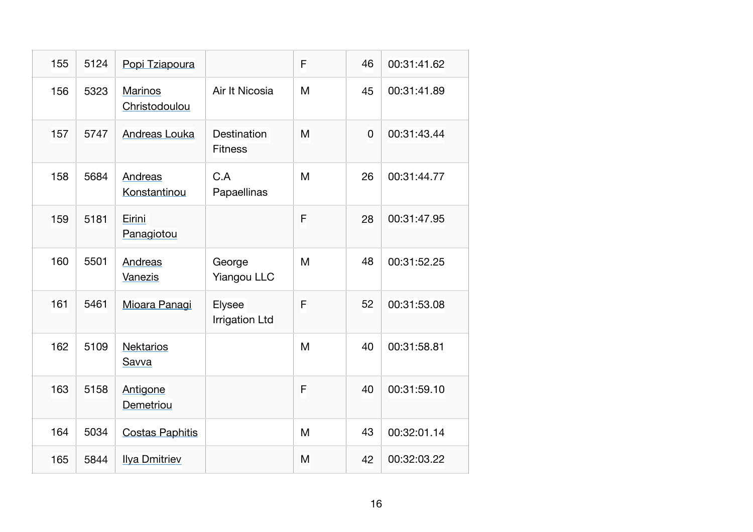| 155 | 5124 | Popi Tziapoura                  |                                      | F | 46          | 00:31:41.62 |
|-----|------|---------------------------------|--------------------------------------|---|-------------|-------------|
| 156 | 5323 | <b>Marinos</b><br>Christodoulou | Air It Nicosia                       | M | 45          | 00:31:41.89 |
| 157 | 5747 | Andreas Louka                   | <b>Destination</b><br><b>Fitness</b> | M | $\mathbf 0$ | 00:31:43.44 |
| 158 | 5684 | Andreas<br>Konstantinou         | C.A<br>Papaellinas                   | M | 26          | 00:31:44.77 |
| 159 | 5181 | Eirini<br>Panagiotou            |                                      | F | 28          | 00:31:47.95 |
| 160 | 5501 | Andreas<br>Vanezis              | George<br><b>Yiangou LLC</b>         | M | 48          | 00:31:52.25 |
| 161 | 5461 | Mioara Panagi                   | Elysee<br><b>Irrigation Ltd</b>      | F | 52          | 00:31:53.08 |
| 162 | 5109 | <b>Nektarios</b><br>Savva       |                                      | M | 40          | 00:31:58.81 |
| 163 | 5158 | Antigone<br>Demetriou           |                                      | F | 40          | 00:31:59.10 |
| 164 | 5034 | <b>Costas Paphitis</b>          |                                      | M | 43          | 00:32:01.14 |
| 165 | 5844 | <b>Ilya Dmitriev</b>            |                                      | M | 42          | 00:32:03.22 |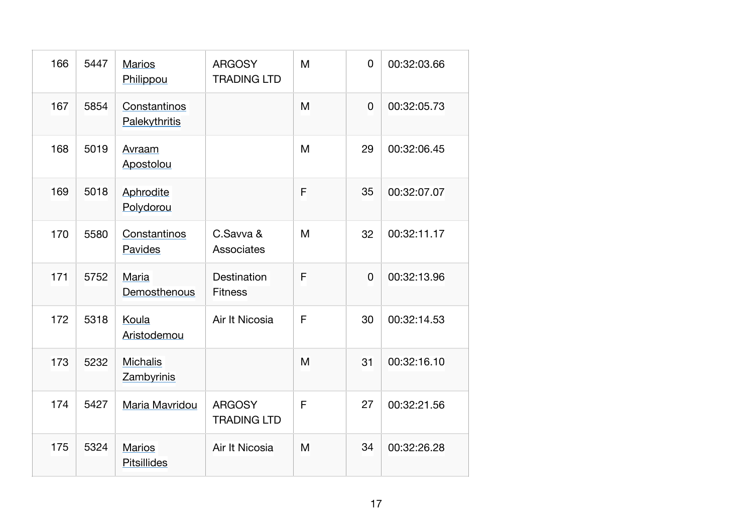| 166 | 5447 | <b>Marios</b><br>Philippou          | <b>ARGOSY</b><br><b>TRADING LTD</b>  | M | $\mathbf 0$    | 00:32:03.66 |
|-----|------|-------------------------------------|--------------------------------------|---|----------------|-------------|
| 167 | 5854 | Constantinos<br>Palekythritis       |                                      | M | $\overline{0}$ | 00:32:05.73 |
| 168 | 5019 | Avraam<br>Apostolou                 |                                      | M | 29             | 00:32:06.45 |
| 169 | 5018 | Aphrodite<br>Polydorou              |                                      | F | 35             | 00:32:07.07 |
| 170 | 5580 | Constantinos<br>Pavides             | C.Savva &<br>Associates              | M | 32             | 00:32:11.17 |
| 171 | 5752 | Maria<br>Demosthenous               | <b>Destination</b><br><b>Fitness</b> | F | $\overline{0}$ | 00:32:13.96 |
| 172 | 5318 | Koula<br>Aristodemou                | Air It Nicosia                       | F | 30             | 00:32:14.53 |
| 173 | 5232 | <b>Michalis</b><br>Zambyrinis       |                                      | M | 31             | 00:32:16.10 |
| 174 | 5427 | Maria Mavridou                      | <b>ARGOSY</b><br><b>TRADING LTD</b>  | F | 27             | 00:32:21.56 |
| 175 | 5324 | <b>Marios</b><br><b>Pitsillides</b> | Air It Nicosia                       | M | 34             | 00:32:26.28 |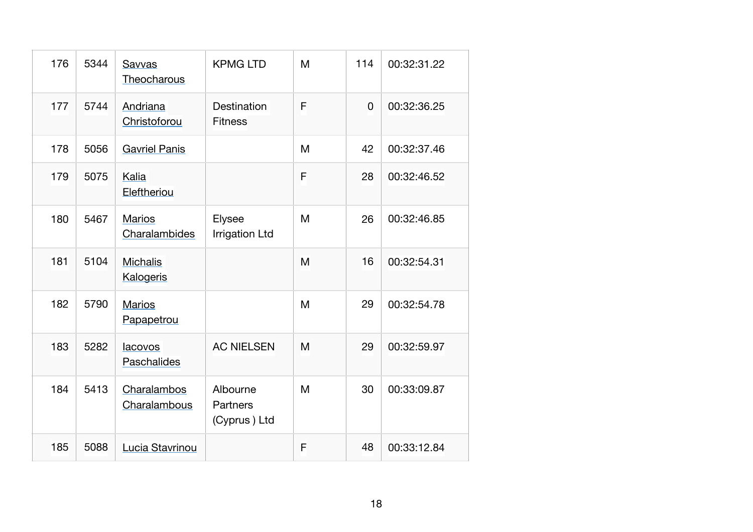| 176 | 5344 | Savvas<br>Theocharous               | <b>KPMG LTD</b>                      | M | 114      | 00:32:31.22 |
|-----|------|-------------------------------------|--------------------------------------|---|----------|-------------|
| 177 | 5744 | Andriana<br>Christoforou            | Destination<br><b>Fitness</b>        | F | $\Omega$ | 00:32:36.25 |
| 178 | 5056 | <b>Gavriel Panis</b>                |                                      | M | 42       | 00:32:37.46 |
| 179 | 5075 | Kalia<br>Eleftheriou                |                                      | F | 28       | 00:32:46.52 |
| 180 | 5467 | <b>Marios</b><br>Charalambides      | Elysee<br><b>Irrigation Ltd</b>      | M | 26       | 00:32:46.85 |
| 181 | 5104 | <b>Michalis</b><br><b>Kalogeris</b> |                                      | M | 16       | 00:32:54.31 |
| 182 | 5790 | <b>Marios</b><br>Papapetrou         |                                      | M | 29       | 00:32:54.78 |
| 183 | 5282 | lacovos<br>Paschalides              | <b>AC NIELSEN</b>                    | M | 29       | 00:32:59.97 |
| 184 | 5413 | Charalambos<br>Charalambous         | Albourne<br>Partners<br>(Cyprus) Ltd | M | 30       | 00:33:09.87 |
| 185 | 5088 | Lucia Stavrinou                     |                                      | F | 48       | 00:33:12.84 |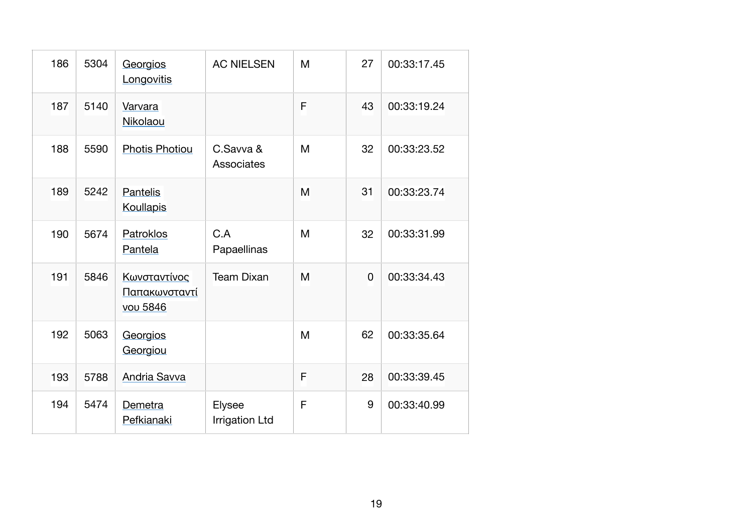| 186 | 5304 | Georgios<br>Longovitis                    | <b>AC NIELSEN</b>               | M | 27             | 00:33:17.45 |
|-----|------|-------------------------------------------|---------------------------------|---|----------------|-------------|
| 187 | 5140 | Varvara<br>Nikolaou                       |                                 | F | 43             | 00:33:19.24 |
| 188 | 5590 | <b>Photis Photiou</b>                     | C.Savva &<br>Associates         | M | 32             | 00:33:23.52 |
| 189 | 5242 | Pantelis<br><b>Koullapis</b>              |                                 | M | 31             | 00:33:23.74 |
| 190 | 5674 | Patroklos<br>Pantela                      | C.A<br>Papaellinas              | M | 32             | 00:33:31.99 |
| 191 | 5846 | Κωνσταντίνος<br>Παπακωνσταντί<br>vou 5846 | <b>Team Dixan</b>               | M | $\overline{0}$ | 00:33:34.43 |
| 192 | 5063 | Georgios<br>Georgiou                      |                                 | M | 62             | 00:33:35.64 |
| 193 | 5788 | Andria Savva                              |                                 | F | 28             | 00:33:39.45 |
| 194 | 5474 | Demetra<br>Pefkianaki                     | Elysee<br><b>Irrigation Ltd</b> | F | 9              | 00:33:40.99 |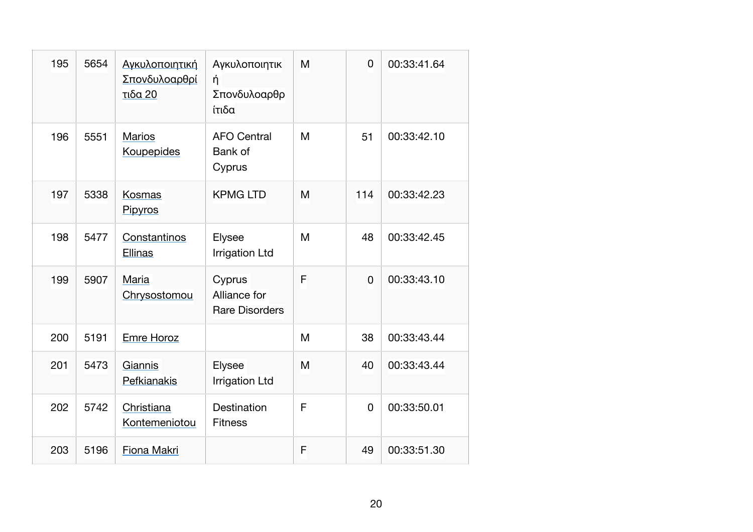| 195 | 5654 | Αγκυλοποιητική<br>Σπονδυλοαρθρί<br>τιδα 20 | Αγκυλοποιητικ<br>ή<br>Σπονδυλοαρθρ<br>ίτιδα     | M | $\overline{0}$ | 00:33:41.64 |
|-----|------|--------------------------------------------|-------------------------------------------------|---|----------------|-------------|
| 196 | 5551 | <b>Marios</b><br>Koupepides                | <b>AFO Central</b><br>Bank of<br>Cyprus         | M | 51             | 00:33:42.10 |
| 197 | 5338 | Kosmas<br>Pipyros                          | <b>KPMG LTD</b>                                 | M | 114            | 00:33:42.23 |
| 198 | 5477 | Constantinos<br>Ellinas                    | Elysee<br><b>Irrigation Ltd</b>                 | M | 48             | 00:33:42.45 |
| 199 | 5907 | Maria<br>Chrysostomou                      | Cyprus<br>Alliance for<br><b>Rare Disorders</b> | F | $\mathbf 0$    | 00:33:43.10 |
| 200 | 5191 | Emre Horoz                                 |                                                 | M | 38             | 00:33:43.44 |
| 201 | 5473 | Giannis<br>Pefkianakis                     | Elysee<br><b>Irrigation Ltd</b>                 | M | 40             | 00:33:43.44 |
| 202 | 5742 | Christiana<br>Kontemeniotou                | Destination<br><b>Fitness</b>                   | F | 0              | 00:33:50.01 |
| 203 | 5196 | Fiona Makri                                |                                                 | F | 49             | 00:33:51.30 |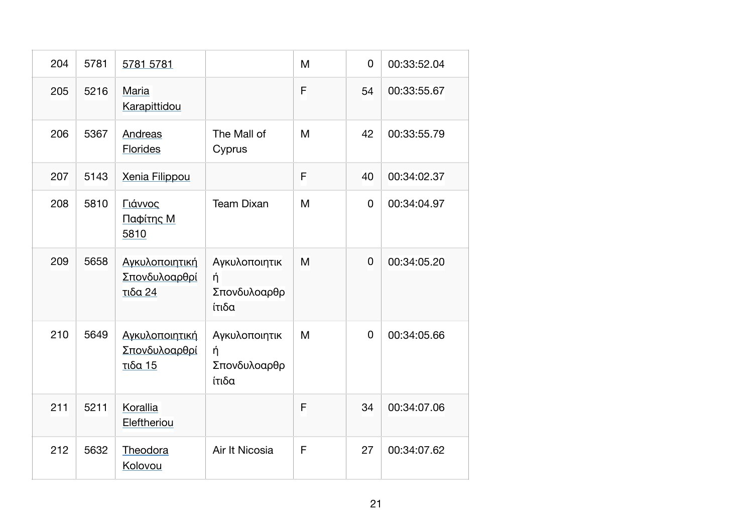| 204 | 5781 | 5781 5781                                  |                                             | M | 0              | 00:33:52.04 |
|-----|------|--------------------------------------------|---------------------------------------------|---|----------------|-------------|
| 205 | 5216 | Maria<br>Karapittidou                      |                                             | F | 54             | 00:33:55.67 |
| 206 | 5367 | Andreas<br><b>Florides</b>                 | The Mall of<br>Cyprus                       | M | 42             | 00:33:55.79 |
| 207 | 5143 | <b>Xenia Filippou</b>                      |                                             | F | 40             | 00:34:02.37 |
| 208 | 5810 | Γιάννος<br>Παφίτης Μ<br>5810               | <b>Team Dixan</b>                           | M | $\mathbf 0$    | 00:34:04.97 |
| 209 | 5658 | Αγκυλοποιητική<br>Σπονδυλοαρθρί<br>τιδα 24 | Αγκυλοποιητικ<br>ή<br>Σπονδυλοαρθρ<br>ίτιδα | M | $\overline{0}$ | 00:34:05.20 |
| 210 | 5649 | Αγκυλοποιητική<br>Σπονδυλοαρθρί<br>τιδα 15 | Αγκυλοποιητικ<br>ή<br>Σπονδυλοαρθρ<br>ίτιδα | M | 0              | 00:34:05.66 |
| 211 | 5211 | Korallia<br>Eleftheriou                    |                                             | F | 34             | 00:34:07.06 |
| 212 | 5632 | Theodora<br>Kolovou                        | Air It Nicosia                              | F | 27             | 00:34:07.62 |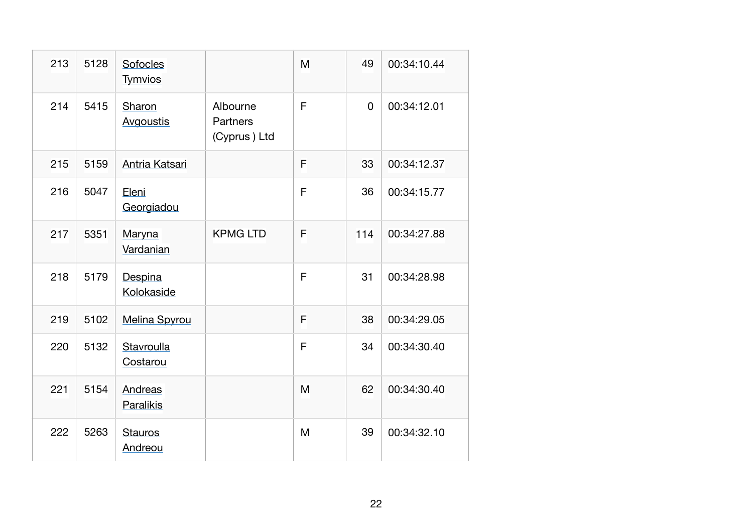| 213 | 5128 | Sofocles<br><b>Tymvios</b> |                                      | M            | 49  | 00:34:10.44 |
|-----|------|----------------------------|--------------------------------------|--------------|-----|-------------|
| 214 | 5415 | Sharon<br>Avgoustis        | Albourne<br>Partners<br>(Cyprus) Ltd | $\mathsf{F}$ | 0   | 00:34:12.01 |
| 215 | 5159 | Antria Katsari             |                                      | F            | 33  | 00:34:12.37 |
| 216 | 5047 | Eleni<br>Georgiadou        |                                      | F            | 36  | 00:34:15.77 |
| 217 | 5351 | Maryna<br>Vardanian        | <b>KPMG LTD</b>                      | F            | 114 | 00:34:27.88 |
| 218 | 5179 | Despina<br>Kolokaside      |                                      | F            | 31  | 00:34:28.98 |
| 219 | 5102 | <b>Melina Spyrou</b>       |                                      | F            | 38  | 00:34:29.05 |
| 220 | 5132 | Stavroulla<br>Costarou     |                                      | F            | 34  | 00:34:30.40 |
| 221 | 5154 | Andreas<br>Paralikis       |                                      | M            | 62  | 00:34:30.40 |
| 222 | 5263 | <b>Stauros</b><br>Andreou  |                                      | M            | 39  | 00:34:32.10 |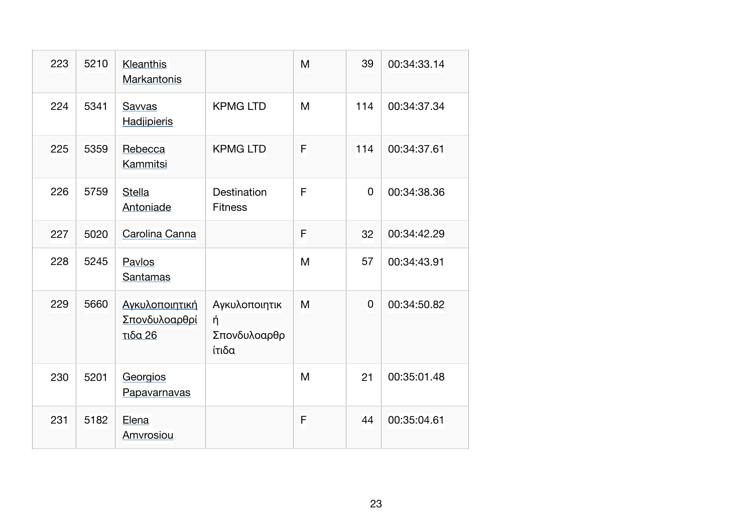| 223 | 5210 | Kleanthis<br>Markantonis                   |                                             | M | 39  | 00:34:33.14 |
|-----|------|--------------------------------------------|---------------------------------------------|---|-----|-------------|
| 224 | 5341 | Savvas<br>Hadjipieris                      | <b>KPMG LTD</b>                             | M | 114 | 00:34:37.34 |
| 225 | 5359 | Rebecca<br>Kammitsi                        | <b>KPMG LTD</b>                             | F | 114 | 00:34:37.61 |
| 226 | 5759 | <b>Stella</b><br>Antoniade                 | Destination<br><b>Fitness</b>               | F | 0   | 00:34:38.36 |
| 227 | 5020 | Carolina Canna                             |                                             | F | 32  | 00:34:42.29 |
| 228 | 5245 | Pavlos<br>Santamas                         |                                             | M | 57  | 00:34:43.91 |
| 229 | 5660 | Αγκυλοποιητική<br>Σπονδυλοαρθρί<br>τιδα 26 | Αγκυλοποιητικ<br>ή<br>Σπονδυλοαρθρ<br>ίτιδα | M | 0   | 00:34:50.82 |
| 230 | 5201 | Georgios<br>Papavarnavas                   |                                             | M | 21  | 00:35:01.48 |
| 231 | 5182 | Elena<br>Amvrosiou                         |                                             | F | 44  | 00:35:04.61 |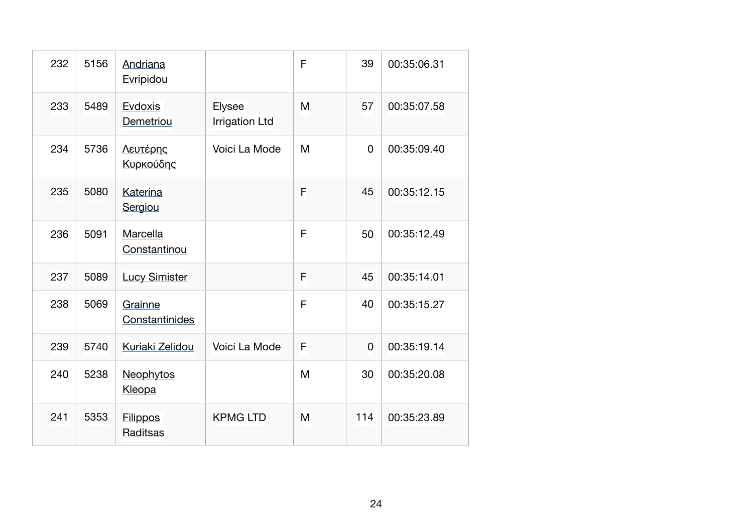| 232 | 5156 | Andriana<br>Evripidou       |                                 | F | 39             | 00:35:06.31 |
|-----|------|-----------------------------|---------------------------------|---|----------------|-------------|
| 233 | 5489 | Evdoxis<br>Demetriou        | Elysee<br><b>Irrigation Ltd</b> | M | 57             | 00:35:07.58 |
| 234 | 5736 | Λευτέρης<br>Κυρκούδης       | Voici La Mode                   | M | $\overline{0}$ | 00:35:09.40 |
| 235 | 5080 | Katerina<br>Sergiou         |                                 | F | 45             | 00:35:12.15 |
| 236 | 5091 | Marcella<br>Constantinou    |                                 | F | 50             | 00:35:12.49 |
| 237 | 5089 | <b>Lucy Simister</b>        |                                 | F | 45             | 00:35:14.01 |
| 238 | 5069 | Grainne<br>Constantinides   |                                 | F | 40             | 00:35:15.27 |
| 239 | 5740 | Kuriaki Zelidou             | Voici La Mode                   | F | $\mathbf 0$    | 00:35:19.14 |
| 240 | 5238 | Neophytos<br>Kleopa         |                                 | M | 30             | 00:35:20.08 |
| 241 | 5353 | <b>Filippos</b><br>Raditsas | <b>KPMG LTD</b>                 | M | 114            | 00:35:23.89 |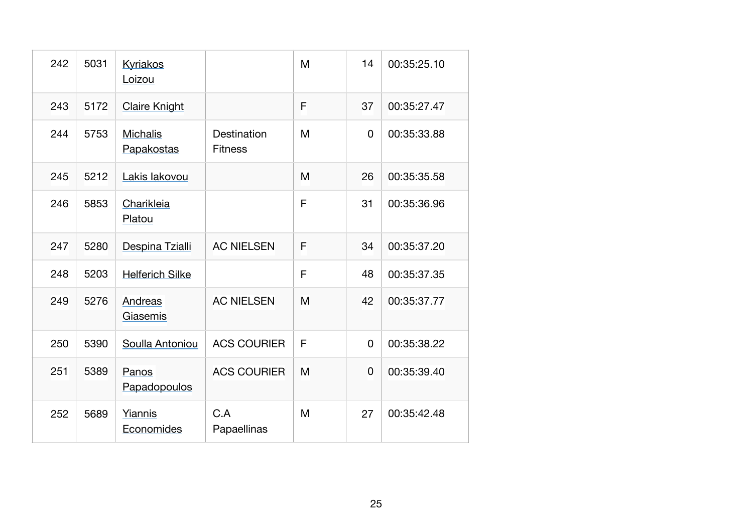| 242 | 5031 | <b>Kyriakos</b><br>Loizou     |                               | M | 14       | 00:35:25.10 |
|-----|------|-------------------------------|-------------------------------|---|----------|-------------|
| 243 | 5172 | <b>Claire Knight</b>          |                               | F | 37       | 00:35:27.47 |
| 244 | 5753 | <b>Michalis</b><br>Papakostas | Destination<br><b>Fitness</b> | M | 0        | 00:35:33.88 |
| 245 | 5212 | Lakis lakovou                 |                               | M | 26       | 00:35:35.58 |
| 246 | 5853 | Charikleia<br>Platou          |                               | F | 31       | 00:35:36.96 |
| 247 | 5280 | Despina Tzialli               | <b>AC NIELSEN</b>             | F | 34       | 00:35:37.20 |
| 248 | 5203 | <b>Helferich Silke</b>        |                               | F | 48       | 00:35:37.35 |
| 249 | 5276 | Andreas<br>Giasemis           | <b>AC NIELSEN</b>             | M | 42       | 00:35:37.77 |
| 250 | 5390 | Soulla Antoniou               | <b>ACS COURIER</b>            | F | 0        | 00:35:38.22 |
| 251 | 5389 | Panos<br>Papadopoulos         | <b>ACS COURIER</b>            | M | $\Omega$ | 00:35:39.40 |
| 252 | 5689 | Yiannis<br>Economides         | C.A<br>Papaellinas            | M | 27       | 00:35:42.48 |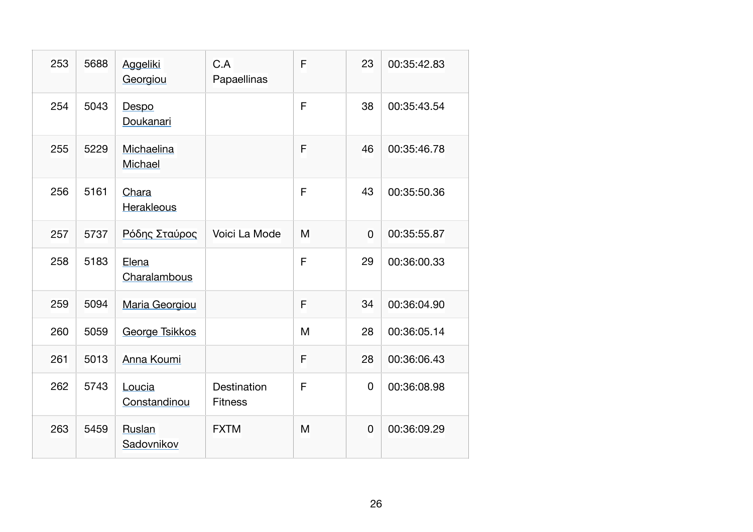| 253 | 5688 | <b>Aggeliki</b><br>Georgiou | C.A<br>Papaellinas            | F | 23 | 00:35:42.83 |
|-----|------|-----------------------------|-------------------------------|---|----|-------------|
| 254 | 5043 | Despo<br>Doukanari          |                               | F | 38 | 00:35:43.54 |
| 255 | 5229 | Michaelina<br>Michael       |                               | F | 46 | 00:35:46.78 |
| 256 | 5161 | Chara<br>Herakleous         |                               | F | 43 | 00:35:50.36 |
| 257 | 5737 | Ρόδης Σταύρος               | Voici La Mode                 | M | 0  | 00:35:55.87 |
| 258 | 5183 | Elena<br>Charalambous       |                               | F | 29 | 00:36:00.33 |
| 259 | 5094 | Maria Georgiou              |                               | F | 34 | 00:36:04.90 |
| 260 | 5059 | <b>George Tsikkos</b>       |                               | M | 28 | 00:36:05.14 |
| 261 | 5013 | Anna Koumi                  |                               | F | 28 | 00:36:06.43 |
| 262 | 5743 | Loucia<br>Constandinou      | Destination<br><b>Fitness</b> | F | 0  | 00:36:08.98 |
| 263 | 5459 | Ruslan<br>Sadovnikov        | <b>FXTM</b>                   | M | 0  | 00:36:09.29 |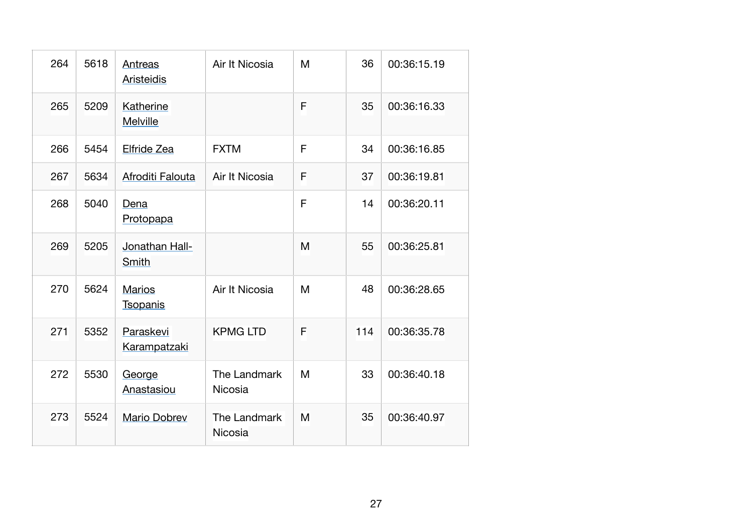| 264 | 5618 | Antreas<br><b>Aristeidis</b>     | Air It Nicosia          | M | 36  | 00:36:15.19 |
|-----|------|----------------------------------|-------------------------|---|-----|-------------|
| 265 | 5209 | Katherine<br><b>Melville</b>     |                         | F | 35  | 00:36:16.33 |
| 266 | 5454 | Elfride Zea                      | <b>FXTM</b>             | F | 34  | 00:36:16.85 |
| 267 | 5634 | Afroditi Falouta                 | Air It Nicosia          | F | 37  | 00:36:19.81 |
| 268 | 5040 | Dena<br>Protopapa                |                         | F | 14  | 00:36:20.11 |
| 269 | 5205 | Jonathan Hall-<br>Smith          |                         | M | 55  | 00:36:25.81 |
| 270 | 5624 | <b>Marios</b><br><b>Tsopanis</b> | Air It Nicosia          | M | 48  | 00:36:28.65 |
| 271 | 5352 | Paraskevi<br><u>Karampatzaki</u> | <b>KPMG LTD</b>         | F | 114 | 00:36:35.78 |
| 272 | 5530 | George<br>Anastasiou             | The Landmark<br>Nicosia | M | 33  | 00:36:40.18 |
| 273 | 5524 | <b>Mario Dobrev</b>              | The Landmark<br>Nicosia | M | 35  | 00:36:40.97 |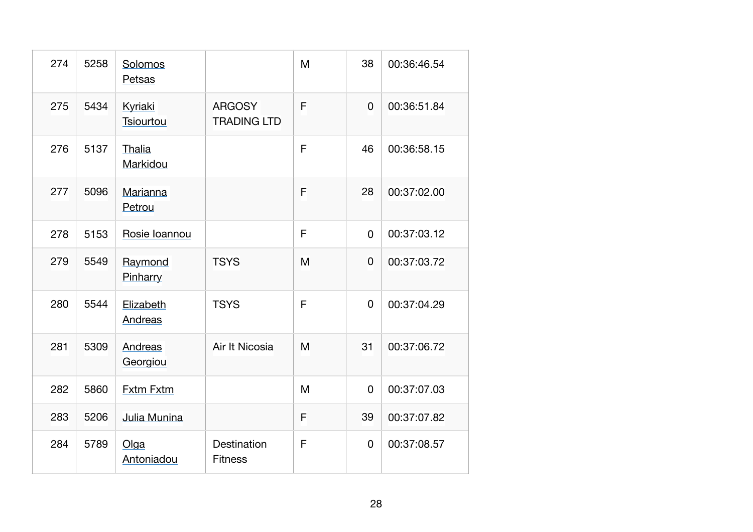| 274 | 5258 | Solomos<br>Petsas    |                                     | M           | 38          | 00:36:46.54 |
|-----|------|----------------------|-------------------------------------|-------------|-------------|-------------|
| 275 | 5434 | Kyriaki<br>Tsiourtou | <b>ARGOSY</b><br><b>TRADING LTD</b> | F           | 0           | 00:36:51.84 |
| 276 | 5137 | Thalia<br>Markidou   |                                     | F           | 46          | 00:36:58.15 |
| 277 | 5096 | Marianna<br>Petrou   |                                     | F           | 28          | 00:37:02.00 |
| 278 | 5153 | Rosie Ioannou        |                                     | F           | $\mathbf 0$ | 00:37:03.12 |
| 279 | 5549 | Raymond<br>Pinharry  | <b>TSYS</b>                         | M           | 0           | 00:37:03.72 |
| 280 | 5544 | Elizabeth<br>Andreas | <b>TSYS</b>                         | F           | $\Omega$    | 00:37:04.29 |
| 281 | 5309 | Andreas<br>Georgiou  | Air It Nicosia                      | M           | 31          | 00:37:06.72 |
| 282 | 5860 | <b>Fxtm Fxtm</b>     |                                     | M           | $\mathbf 0$ | 00:37:07.03 |
| 283 | 5206 | Julia Munina         |                                     | F           | 39          | 00:37:07.82 |
| 284 | 5789 | Olga<br>Antoniadou   | Destination<br><b>Fitness</b>       | $\mathsf F$ | $\mathbf 0$ | 00:37:08.57 |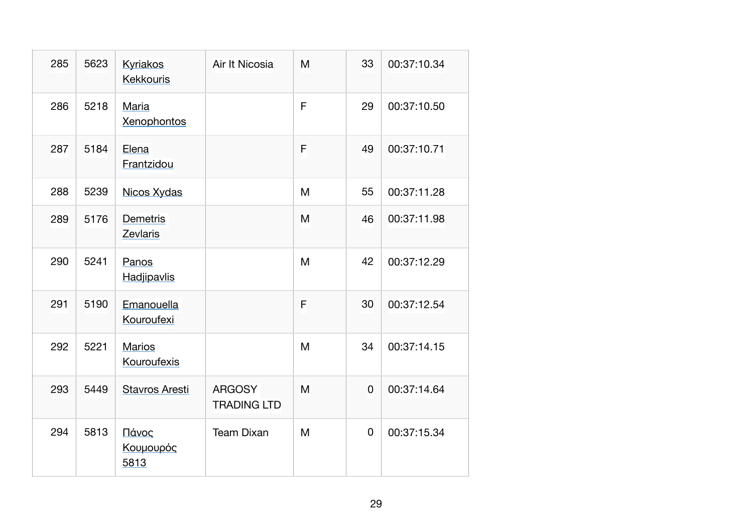| 285 | 5623 | <b>Kyriakos</b><br><b>Kekkouris</b> | Air It Nicosia                      | M | 33 | 00:37:10.34 |
|-----|------|-------------------------------------|-------------------------------------|---|----|-------------|
| 286 | 5218 | Maria<br><b>Xenophontos</b>         |                                     | F | 29 | 00:37:10.50 |
| 287 | 5184 | Elena<br>Frantzidou                 |                                     | F | 49 | 00:37:10.71 |
| 288 | 5239 | Nicos Xydas                         |                                     | M | 55 | 00:37:11.28 |
| 289 | 5176 | Demetris<br>Zevlaris                |                                     | M | 46 | 00:37:11.98 |
| 290 | 5241 | Panos<br>Hadjipavlis                |                                     | M | 42 | 00:37:12.29 |
| 291 | 5190 | Emanouella<br>Kouroufexi            |                                     | F | 30 | 00:37:12.54 |
| 292 | 5221 | <b>Marios</b><br>Kouroufexis        |                                     | M | 34 | 00:37:14.15 |
| 293 | 5449 | <b>Stavros Aresti</b>               | <b>ARGOSY</b><br><b>TRADING LTD</b> | M | 0  | 00:37:14.64 |
| 294 | 5813 | Πάνος<br>Κουμουρός<br>5813          | <b>Team Dixan</b>                   | M | 0  | 00:37:15.34 |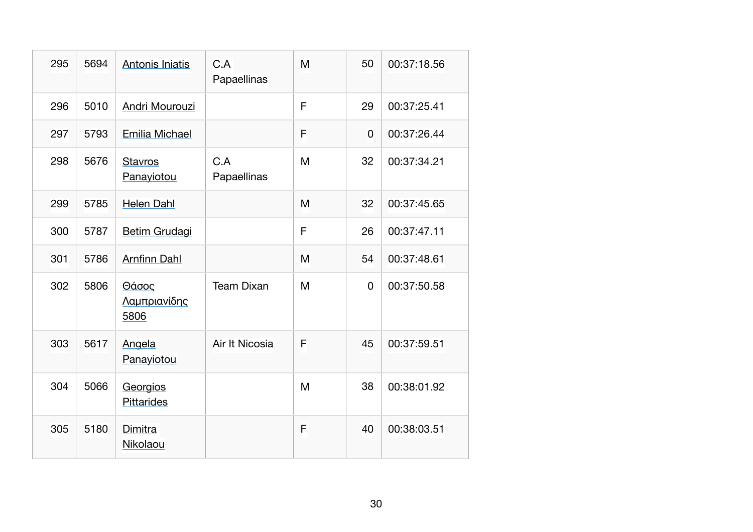| 295 | 5694 | Antonis Iniatis                      | C.A<br>Papaellinas | M | 50 | 00:37:18.56 |
|-----|------|--------------------------------------|--------------------|---|----|-------------|
| 296 | 5010 | Andri Mourouzi                       |                    | F | 29 | 00:37:25.41 |
| 297 | 5793 | Emilia Michael                       |                    | F | 0  | 00:37:26.44 |
| 298 | 5676 | <b>Stavros</b><br>Panayiotou         | C.A<br>Papaellinas | M | 32 | 00:37:34.21 |
| 299 | 5785 | <b>Helen Dahl</b>                    |                    | M | 32 | 00:37:45.65 |
| 300 | 5787 | <b>Betim Grudagi</b>                 |                    | F | 26 | 00:37:47.11 |
| 301 | 5786 | <b>Arnfinn Dahl</b>                  |                    | M | 54 | 00:37:48.61 |
| 302 | 5806 | Θάσος<br><u>Λαμπριανίδης</u><br>5806 | <b>Team Dixan</b>  | M | 0  | 00:37:50.58 |
| 303 | 5617 | Angela<br>Panayiotou                 | Air It Nicosia     | F | 45 | 00:37:59.51 |
| 304 | 5066 | Georgios<br><b>Pittarides</b>        |                    | M | 38 | 00:38:01.92 |
| 305 | 5180 | Dimitra<br>Nikolaou                  |                    | F | 40 | 00:38:03.51 |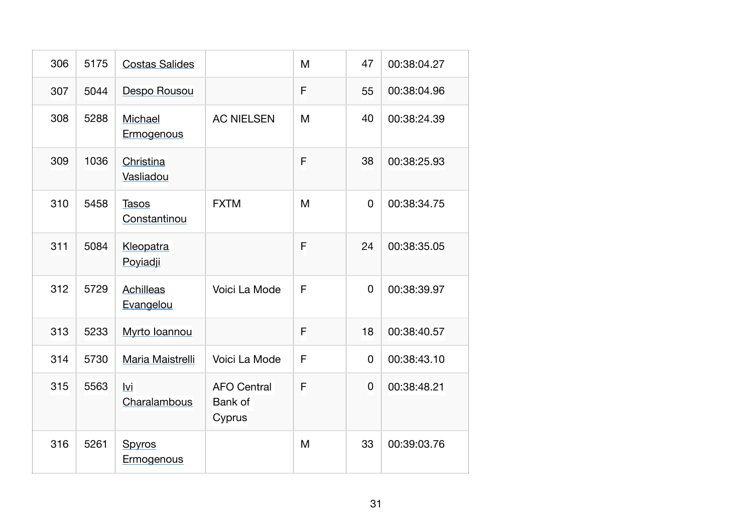| 306 | 5175 | <b>Costas Salides</b>         |                                         | M | 47             | 00:38:04.27 |
|-----|------|-------------------------------|-----------------------------------------|---|----------------|-------------|
| 307 | 5044 | Despo Rousou                  |                                         | F | 55             | 00:38:04.96 |
| 308 | 5288 | Michael<br>Ermogenous         | <b>AC NIELSEN</b>                       | M | 40             | 00:38:24.39 |
| 309 | 1036 | Christina<br>Vasliadou        |                                         | F | 38             | 00:38:25.93 |
| 310 | 5458 | <b>Tasos</b><br>Constantinou  | <b>FXTM</b>                             | M | $\overline{0}$ | 00:38:34.75 |
| 311 | 5084 | Kleopatra<br>Poviadji         |                                         | F | 24             | 00:38:35.05 |
| 312 | 5729 | <b>Achilleas</b><br>Evangelou | Voici La Mode                           | F | 0              | 00:38:39.97 |
| 313 | 5233 | Myrto Ioannou                 |                                         | F | 18             | 00:38:40.57 |
| 314 | 5730 | Maria Maistrelli              | Voici La Mode                           | F | 0              | 00:38:43.10 |
| 315 | 5563 | lvi<br>Charalambous           | <b>AFO Central</b><br>Bank of<br>Cyprus | F | 0              | 00:38:48.21 |
| 316 | 5261 | Spyros<br>Ermogenous          |                                         | M | 33             | 00:39:03.76 |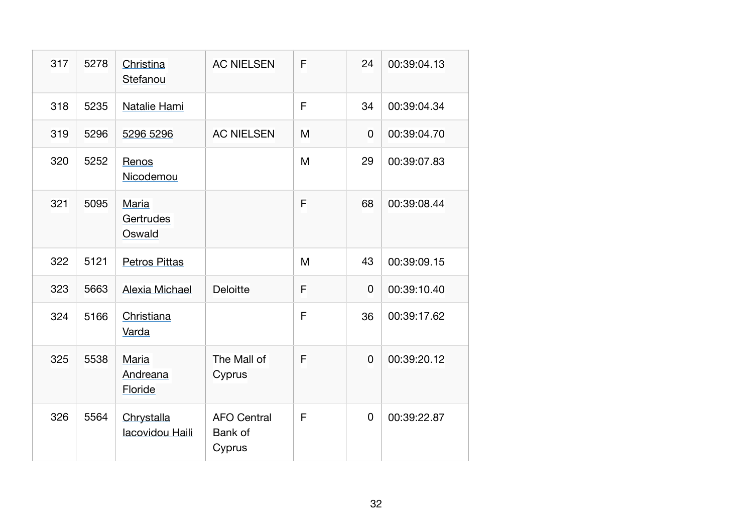| 317 | 5278 | Christina<br>Stefanou         | <b>AC NIELSEN</b>                       | F | 24             | 00:39:04.13 |
|-----|------|-------------------------------|-----------------------------------------|---|----------------|-------------|
| 318 | 5235 | Natalie Hami                  |                                         | F | 34             | 00:39:04.34 |
| 319 | 5296 | 5296 5296                     | <b>AC NIELSEN</b>                       | M | 0              | 00:39:04.70 |
| 320 | 5252 | Renos<br>Nicodemou            |                                         | M | 29             | 00:39:07.83 |
| 321 | 5095 | Maria<br>Gertrudes<br>Oswald  |                                         | F | 68             | 00:39:08.44 |
| 322 | 5121 | <b>Petros Pittas</b>          |                                         | M | 43             | 00:39:09.15 |
| 323 | 5663 | <b>Alexia Michael</b>         | <b>Deloitte</b>                         | F | 0              | 00:39:10.40 |
| 324 | 5166 | Christiana<br>Varda           |                                         | F | 36             | 00:39:17.62 |
| 325 | 5538 | Maria<br>Andreana<br>Floride  | The Mall of<br>Cyprus                   | F | $\overline{0}$ | 00:39:20.12 |
| 326 | 5564 | Chrystalla<br>lacovidou Haili | <b>AFO Central</b><br>Bank of<br>Cyprus | F | 0              | 00:39:22.87 |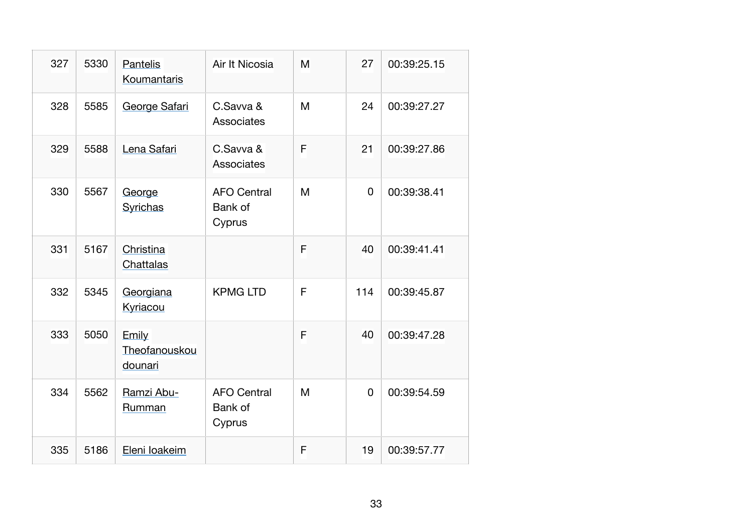| 327 | 5330 | <b>Pantelis</b><br>Koumantaris    | Air It Nicosia                          | M | 27  | 00:39:25.15 |
|-----|------|-----------------------------------|-----------------------------------------|---|-----|-------------|
| 328 | 5585 | George Safari                     | C.Savva &<br>Associates                 | M | 24  | 00:39:27.27 |
| 329 | 5588 | Lena Safari                       | C.Savva &<br>Associates                 | F | 21  | 00:39:27.86 |
| 330 | 5567 | George<br><b>Syrichas</b>         | <b>AFO Central</b><br>Bank of<br>Cyprus | M | 0   | 00:39:38.41 |
| 331 | 5167 | Christina<br>Chattalas            |                                         | F | 40  | 00:39:41.41 |
| 332 | 5345 | Georgiana<br>Kyriacou             | <b>KPMG LTD</b>                         | F | 114 | 00:39:45.87 |
| 333 | 5050 | Emily<br>Theofanouskou<br>dounari |                                         | F | 40  | 00:39:47.28 |
| 334 | 5562 | Ramzi Abu-<br>Rumman              | <b>AFO Central</b><br>Bank of<br>Cyprus | M | 0   | 00:39:54.59 |
| 335 | 5186 | Eleni loakeim                     |                                         | F | 19  | 00:39:57.77 |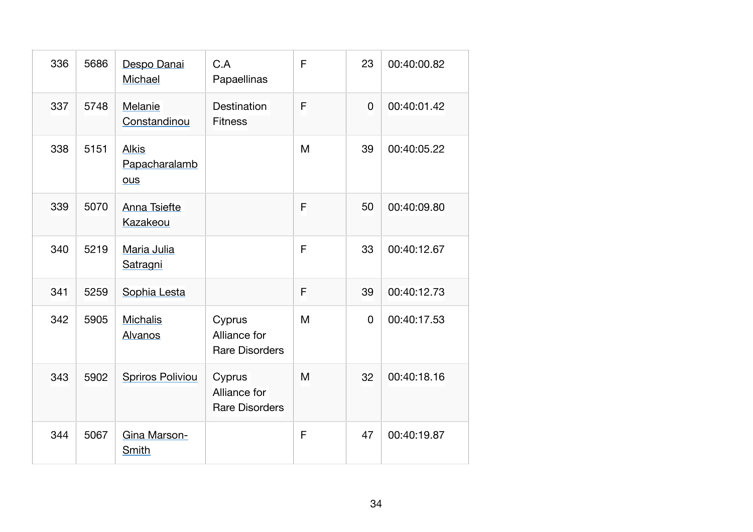| 336 | 5686 | Despo Danai<br>Michael                      | C.A<br>Papaellinas                              | F | 23             | 00:40:00.82 |
|-----|------|---------------------------------------------|-------------------------------------------------|---|----------------|-------------|
| 337 | 5748 | Melanie<br>Constandinou                     | <b>Destination</b><br><b>Fitness</b>            | F | $\overline{0}$ | 00:40:01.42 |
| 338 | 5151 | <b>Alkis</b><br>Papacharalamb<br><b>ous</b> |                                                 | M | 39             | 00:40:05.22 |
| 339 | 5070 | Anna Tsiefte<br>Kazakeou                    |                                                 | F | 50             | 00:40:09.80 |
| 340 | 5219 | Maria Julia<br>Satragni                     |                                                 | F | 33             | 00:40:12.67 |
| 341 | 5259 | Sophia Lesta                                |                                                 | F | 39             | 00:40:12.73 |
| 342 | 5905 | <b>Michalis</b><br>Alvanos                  | Cyprus<br>Alliance for<br><b>Rare Disorders</b> | M | 0              | 00:40:17.53 |
| 343 | 5902 | <b>Spriros Poliviou</b>                     | Cyprus<br>Alliance for<br><b>Rare Disorders</b> | M | 32             | 00:40:18.16 |
| 344 | 5067 | Gina Marson-<br>Smith                       |                                                 | F | 47             | 00:40:19.87 |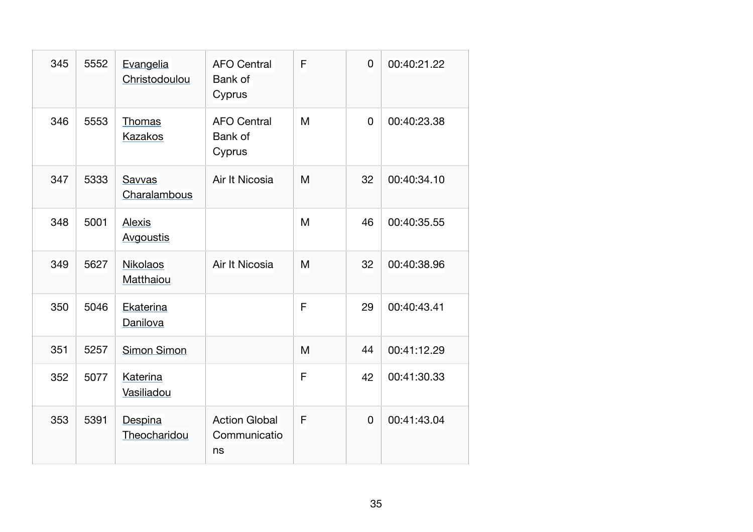| 345 | 5552 | Evangelia<br>Christodoulou        | <b>AFO Central</b><br>Bank of<br>Cyprus    | F | $\overline{0}$ | 00:40:21.22 |
|-----|------|-----------------------------------|--------------------------------------------|---|----------------|-------------|
| 346 | 5553 | Thomas<br>Kazakos                 | <b>AFO Central</b><br>Bank of<br>Cyprus    | M | 0              | 00:40:23.38 |
| 347 | 5333 | Savvas<br>Charalambous            | Air It Nicosia                             | M | 32             | 00:40:34.10 |
| 348 | 5001 | <b>Alexis</b><br><b>Avgoustis</b> |                                            | M | 46             | 00:40:35.55 |
| 349 | 5627 | <b>Nikolaos</b><br>Matthaiou      | Air It Nicosia                             | M | 32             | 00:40:38.96 |
| 350 | 5046 | Ekaterina<br>Danilova             |                                            | F | 29             | 00:40:43.41 |
| 351 | 5257 | Simon Simon                       |                                            | M | 44             | 00:41:12.29 |
| 352 | 5077 | Katerina<br>Vasiliadou            |                                            | F | 42             | 00:41:30.33 |
| 353 | 5391 | Despina<br>Theocharidou           | <b>Action Global</b><br>Communicatio<br>ns | F | 0              | 00:41:43.04 |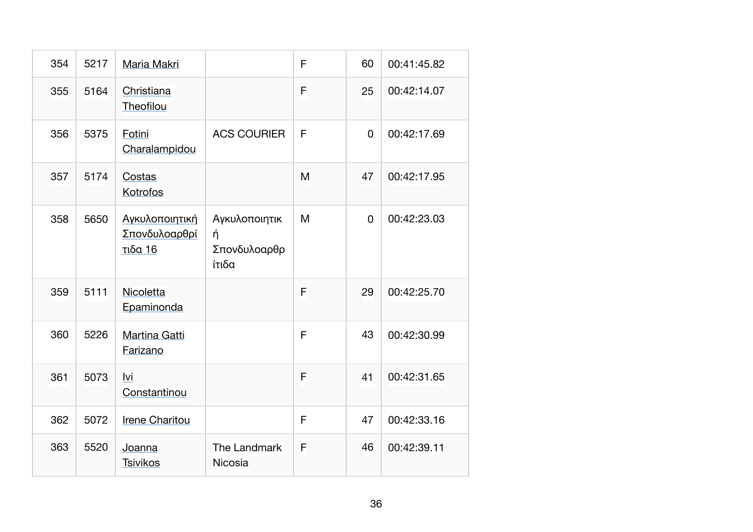| 354 | 5217 | Maria Makri                                |                                             | F | 60          | 00:41:45.82 |
|-----|------|--------------------------------------------|---------------------------------------------|---|-------------|-------------|
| 355 | 5164 | Christiana<br>Theofilou                    |                                             | F | 25          | 00:42:14.07 |
| 356 | 5375 | Fotini<br>Charalampidou                    | <b>ACS COURIER</b>                          | F | 0           | 00:42:17.69 |
| 357 | 5174 | Costas<br>Kotrofos                         |                                             | M | 47          | 00:42:17.95 |
| 358 | 5650 | Αγκυλοποιητική<br>Σπονδυλοαρθρί<br>τιδα 16 | Αγκυλοποιητικ<br>ή<br>Σπονδυλοαρθρ<br>ίτιδα | M | $\mathbf 0$ | 00:42:23.03 |
| 359 | 5111 | Nicoletta<br>Epaminonda                    |                                             | F | 29          | 00:42:25.70 |
| 360 | 5226 | Martina Gatti<br>Farizano                  |                                             | F | 43          | 00:42:30.99 |
| 361 | 5073 | lvi<br>Constantinou                        |                                             | F | 41          | 00:42:31.65 |
| 362 | 5072 | Irene Charitou                             |                                             | F | 47          | 00:42:33.16 |
| 363 | 5520 | Joanna<br><b>Tsivikos</b>                  | The Landmark<br>Nicosia                     | F | 46          | 00:42:39.11 |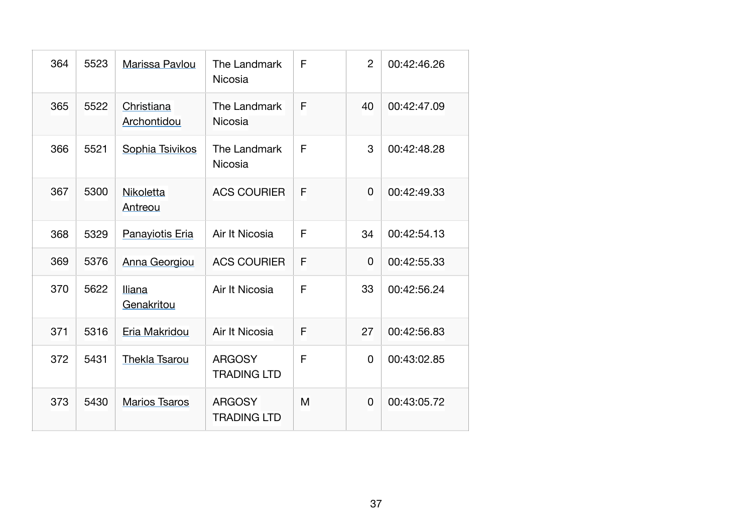| 364 | 5523 | Marissa Pavlou              | The Landmark<br>Nicosia             | F | $\overline{2}$ | 00:42:46.26 |
|-----|------|-----------------------------|-------------------------------------|---|----------------|-------------|
| 365 | 5522 | Christiana<br>Archontidou   | The Landmark<br><b>Nicosia</b>      | F | 40             | 00:42:47.09 |
| 366 | 5521 | Sophia Tsivikos             | The Landmark<br>Nicosia             | F | 3              | 00:42:48.28 |
| 367 | 5300 | Nikoletta<br>Antreou        | <b>ACS COURIER</b>                  | F | 0              | 00:42:49.33 |
| 368 | 5329 | Panayiotis Eria             | Air It Nicosia                      | F | 34             | 00:42:54.13 |
| 369 | 5376 | Anna Georgiou               | <b>ACS COURIER</b>                  | F | 0              | 00:42:55.33 |
| 370 | 5622 | <b>Iliana</b><br>Genakritou | Air It Nicosia                      | F | 33             | 00:42:56.24 |
| 371 | 5316 | Eria Makridou               | Air It Nicosia                      | F | 27             | 00:42:56.83 |
| 372 | 5431 | <b>Thekla Tsarou</b>        | <b>ARGOSY</b><br><b>TRADING LTD</b> | F | $\Omega$       | 00:43:02.85 |
| 373 | 5430 | <b>Marios Tsaros</b>        | <b>ARGOSY</b><br><b>TRADING LTD</b> | M | 0              | 00:43:05.72 |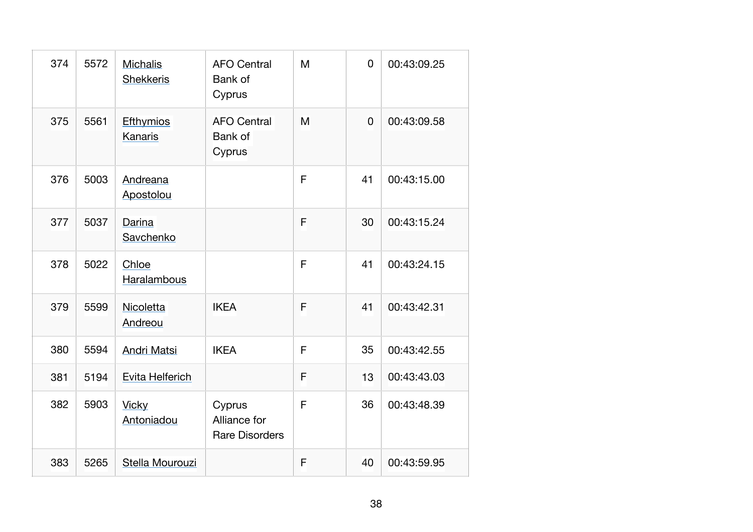| 374 | 5572 | <b>Michalis</b><br><b>Shekkeris</b> | <b>AFO Central</b><br>Bank of<br>Cyprus         | M | $\mathbf 0$ | 00:43:09.25 |
|-----|------|-------------------------------------|-------------------------------------------------|---|-------------|-------------|
| 375 | 5561 | Efthymios<br>Kanaris                | <b>AFO Central</b><br><b>Bank of</b><br>Cyprus  | M | $\mathbf 0$ | 00:43:09.58 |
| 376 | 5003 | Andreana<br>Apostolou               |                                                 | F | 41          | 00:43:15.00 |
| 377 | 5037 | Darina<br>Savchenko                 |                                                 | F | 30          | 00:43:15.24 |
| 378 | 5022 | Chloe<br>Haralambous                |                                                 | F | 41          | 00:43:24.15 |
| 379 | 5599 | Nicoletta<br>Andreou                | <b>IKEA</b>                                     | F | 41          | 00:43:42.31 |
| 380 | 5594 | <b>Andri Matsi</b>                  | <b>IKEA</b>                                     | F | 35          | 00:43:42.55 |
| 381 | 5194 | Evita Helferich                     |                                                 | F | 13          | 00:43:43.03 |
| 382 | 5903 | <b>Vicky</b><br>Antoniadou          | Cyprus<br>Alliance for<br><b>Rare Disorders</b> | F | 36          | 00:43:48.39 |
| 383 | 5265 | Stella Mourouzi                     |                                                 | F | 40          | 00:43:59.95 |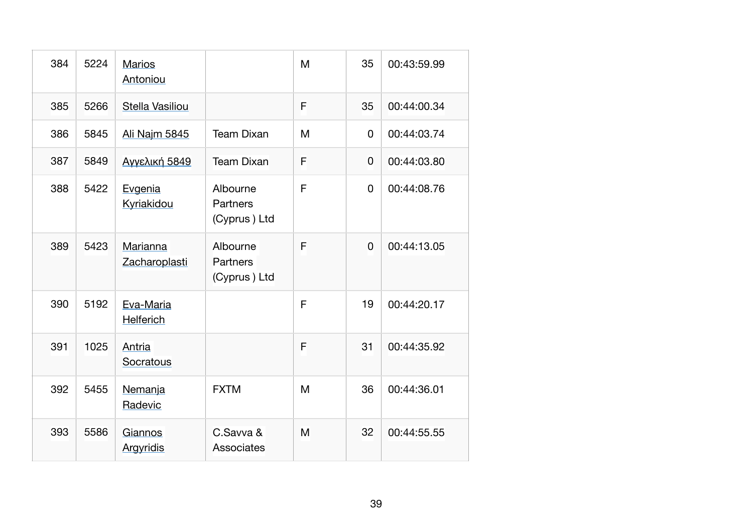| 384 | 5224 | <b>Marios</b><br>Antoniou     |                                             | M | 35             | 00:43:59.99 |
|-----|------|-------------------------------|---------------------------------------------|---|----------------|-------------|
| 385 | 5266 | Stella Vasiliou               |                                             | F | 35             | 00:44:00.34 |
| 386 | 5845 | Ali Najm 5845                 | <b>Team Dixan</b>                           | M | $\mathbf 0$    | 00:44:03.74 |
| 387 | 5849 | Αγγελική 5849                 | <b>Team Dixan</b>                           | F | 0              | 00:44:03.80 |
| 388 | 5422 | Evgenia<br>Kyriakidou         | Albourne<br><b>Partners</b><br>(Cyprus) Ltd | F | $\Omega$       | 00:44:08.76 |
| 389 | 5423 | Marianna<br>Zacharoplasti     | Albourne<br><b>Partners</b><br>(Cyprus) Ltd | F | $\overline{0}$ | 00:44:13.05 |
| 390 | 5192 | Eva-Maria<br><b>Helferich</b> |                                             | F | 19             | 00:44:20.17 |
| 391 | 1025 | Antria<br>Socratous           |                                             | F | 31             | 00:44:35.92 |
| 392 | 5455 | Nemanja<br>Radevic            | <b>FXTM</b>                                 | M | 36             | 00:44:36.01 |
| 393 | 5586 | Giannos<br><b>Argyridis</b>   | C.Savva &<br>Associates                     | M | 32             | 00:44:55.55 |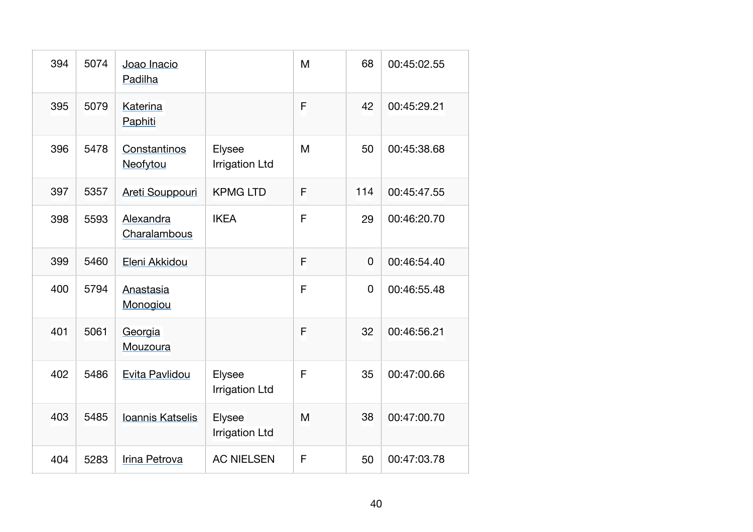| 394 | 5074 | Joao Inacio<br>Padilha    |                                 | M | 68          | 00:45:02.55 |
|-----|------|---------------------------|---------------------------------|---|-------------|-------------|
| 395 | 5079 | Katerina<br>Paphiti       |                                 | F | 42          | 00:45:29.21 |
| 396 | 5478 | Constantinos<br>Neofytou  | Elysee<br><b>Irrigation Ltd</b> | M | 50          | 00:45:38.68 |
| 397 | 5357 | Areti Souppouri           | <b>KPMG LTD</b>                 | F | 114         | 00:45:47.55 |
| 398 | 5593 | Alexandra<br>Charalambous | <b>IKEA</b>                     | F | 29          | 00:46:20.70 |
| 399 | 5460 | Eleni Akkidou             |                                 | F | 0           | 00:46:54.40 |
| 400 | 5794 | Anastasia<br>Monogiou     |                                 | F | $\mathbf 0$ | 00:46:55.48 |
| 401 | 5061 | Georgia<br>Mouzoura       |                                 | F | 32          | 00:46:56.21 |
| 402 | 5486 | Evita Pavlidou            | Elysee<br><b>Irrigation Ltd</b> | F | 35          | 00:47:00.66 |
| 403 | 5485 | Ioannis Katselis          | Elysee<br><b>Irrigation Ltd</b> | M | 38          | 00:47:00.70 |
| 404 | 5283 | Irina Petrova             | <b>AC NIELSEN</b>               | F | 50          | 00:47:03.78 |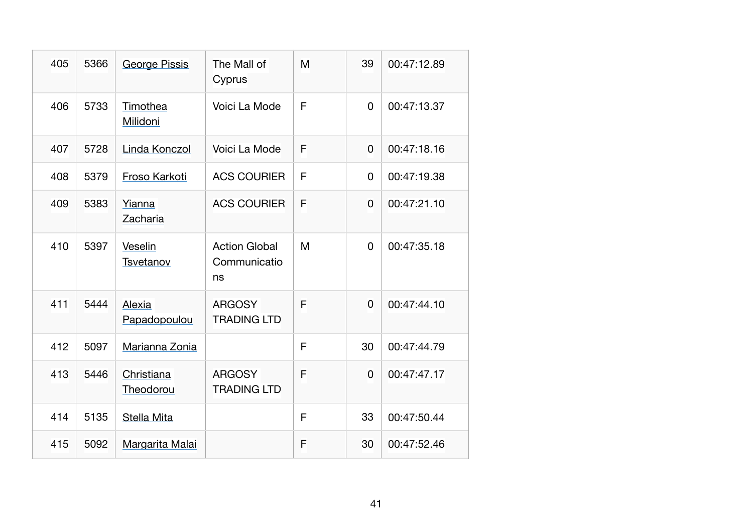| 405 | 5366 | <b>George Pissis</b>    | The Mall of<br>Cyprus                      | M | 39             | 00:47:12.89 |
|-----|------|-------------------------|--------------------------------------------|---|----------------|-------------|
| 406 | 5733 | Timothea<br>Milidoni    | Voici La Mode                              | F | 0              | 00:47:13.37 |
| 407 | 5728 | Linda Konczol           | Voici La Mode                              | F | 0              | 00:47:18.16 |
| 408 | 5379 | Froso Karkoti           | <b>ACS COURIER</b>                         | F | 0              | 00:47:19.38 |
| 409 | 5383 | Yianna<br>Zacharia      | <b>ACS COURIER</b>                         | F | $\overline{0}$ | 00:47:21.10 |
| 410 | 5397 | Veselin<br>Tsvetanov    | <b>Action Global</b><br>Communicatio<br>ns | M | $\mathbf 0$    | 00:47:35.18 |
| 411 | 5444 | Alexia<br>Papadopoulou  | <b>ARGOSY</b><br><b>TRADING LTD</b>        | F | 0              | 00:47:44.10 |
| 412 | 5097 | Marianna Zonia          |                                            | F | 30             | 00:47:44.79 |
| 413 | 5446 | Christiana<br>Theodorou | <b>ARGOSY</b><br><b>TRADING LTD</b>        | F | 0              | 00:47:47.17 |
| 414 | 5135 | Stella Mita             |                                            | F | 33             | 00:47:50.44 |
| 415 | 5092 | Margarita Malai         |                                            | F | 30             | 00:47:52.46 |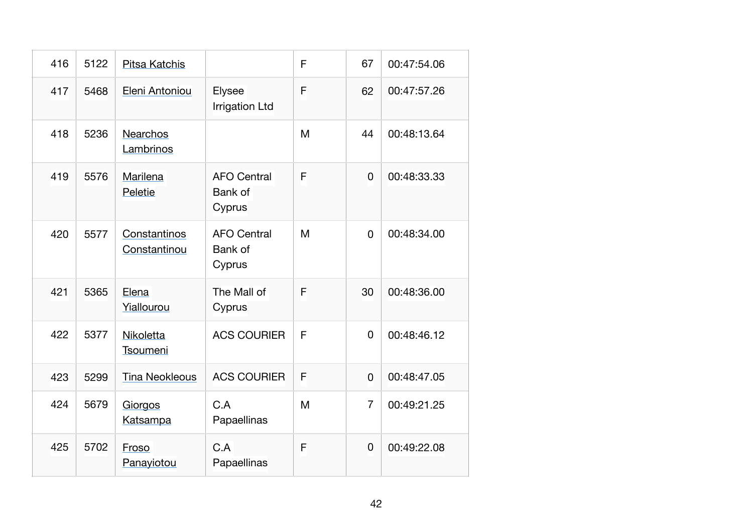| 416 | 5122 | <b>Pitsa Katchis</b>         |                                         | F | 67             | 00:47:54.06 |
|-----|------|------------------------------|-----------------------------------------|---|----------------|-------------|
| 417 | 5468 | Eleni Antoniou               | Elysee<br><b>Irrigation Ltd</b>         | F | 62             | 00:47:57.26 |
| 418 | 5236 | <b>Nearchos</b><br>Lambrinos |                                         | M | 44             | 00:48:13.64 |
| 419 | 5576 | Marilena<br>Peletie          | <b>AFO Central</b><br>Bank of<br>Cyprus | F | 0              | 00:48:33.33 |
| 420 | 5577 | Constantinos<br>Constantinou | <b>AFO Central</b><br>Bank of<br>Cyprus | M | 0              | 00:48:34.00 |
| 421 | 5365 | Elena<br>Yiallourou          | The Mall of<br>Cyprus                   | F | 30             | 00:48:36.00 |
| 422 | 5377 | Nikoletta<br>Tsoumeni        | <b>ACS COURIER</b>                      | F | $\overline{0}$ | 00:48:46.12 |
| 423 | 5299 | <b>Tina Neokleous</b>        | <b>ACS COURIER</b>                      | F | 0              | 00:48:47.05 |
| 424 | 5679 | Giorgos<br>Katsampa          | C.A<br>Papaellinas                      | M | $\overline{7}$ | 00:49:21.25 |
| 425 | 5702 | Froso<br>Panayiotou          | C.A<br>Papaellinas                      | F | 0              | 00:49:22.08 |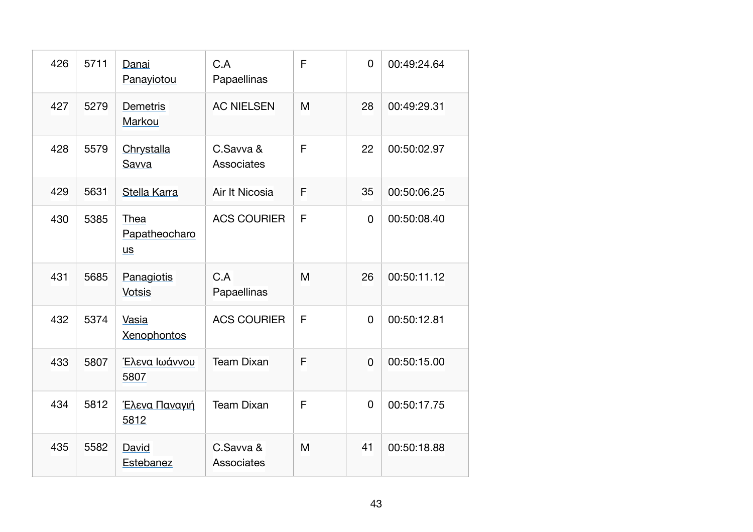| 426 | 5711 | Danai<br>Panayiotou                | C.A<br>Papaellinas      | F | $\overline{0}$ | 00:49:24.64 |
|-----|------|------------------------------------|-------------------------|---|----------------|-------------|
| 427 | 5279 | <b>Demetris</b><br>Markou          | <b>AC NIELSEN</b>       | M | 28             | 00:49:29.31 |
| 428 | 5579 | Chrystalla<br>Savva                | C.Savva &<br>Associates | F | 22             | 00:50:02.97 |
| 429 | 5631 | Stella Karra                       | Air It Nicosia          | F | 35             | 00:50:06.25 |
| 430 | 5385 | Thea<br>Papatheocharo<br><b>us</b> | <b>ACS COURIER</b>      | F | 0              | 00:50:08.40 |
| 431 | 5685 | Panagiotis<br><b>Votsis</b>        | C.A<br>Papaellinas      | M | 26             | 00:50:11.12 |
| 432 | 5374 | Vasia<br><b>Xenophontos</b>        | <b>ACS COURIER</b>      | F | $\mathbf 0$    | 00:50:12.81 |
| 433 | 5807 | Έλενα Ιωάννου<br>5807              | <b>Team Dixan</b>       | F | 0              | 00:50:15.00 |
| 434 | 5812 | Έλενα Παναγιή<br>5812              | <b>Team Dixan</b>       | F | 0              | 00:50:17.75 |
| 435 | 5582 | David<br>Estebanez                 | C.Savva &<br>Associates | M | 41             | 00:50:18.88 |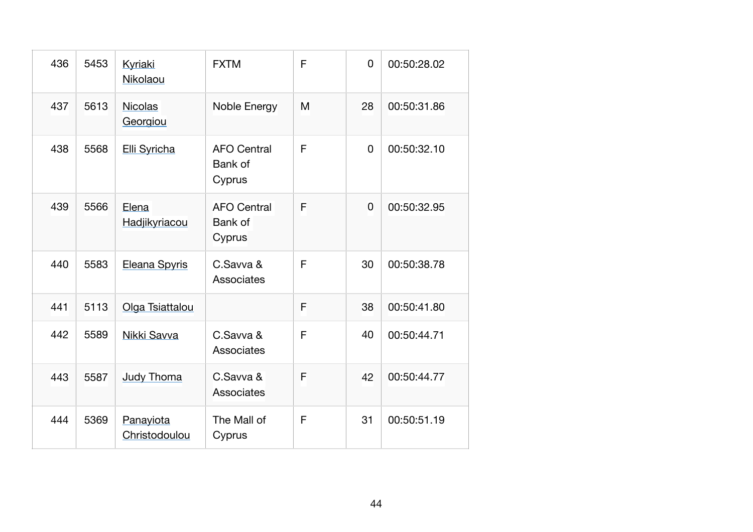| 436 | 5453 | <b>Kyriaki</b><br>Nikolaou | <b>FXTM</b>                                    | F | 0              | 00:50:28.02 |
|-----|------|----------------------------|------------------------------------------------|---|----------------|-------------|
| 437 | 5613 | <b>Nicolas</b><br>Georgiou | Noble Energy                                   | M | 28             | 00:50:31.86 |
| 438 | 5568 | Elli Syricha               | <b>AFO Central</b><br>Bank of<br>Cyprus        | F | 0              | 00:50:32.10 |
| 439 | 5566 | Elena<br>Hadjikyriacou     | <b>AFO Central</b><br><b>Bank of</b><br>Cyprus | F | $\overline{0}$ | 00:50:32.95 |
| 440 | 5583 | Eleana Spyris              | C.Savva &<br>Associates                        | F | 30             | 00:50:38.78 |
| 441 | 5113 | Olga Tsiattalou            |                                                | F | 38             | 00:50:41.80 |
| 442 | 5589 | Nikki Savva                | C.Savva &<br>Associates                        | F | 40             | 00:50:44.71 |
| 443 | 5587 | <b>Judy Thoma</b>          | C.Savva &<br>Associates                        | F | 42             | 00:50:44.77 |
| 444 | 5369 | Panayiota<br>Christodoulou | The Mall of<br>Cyprus                          | F | 31             | 00:50:51.19 |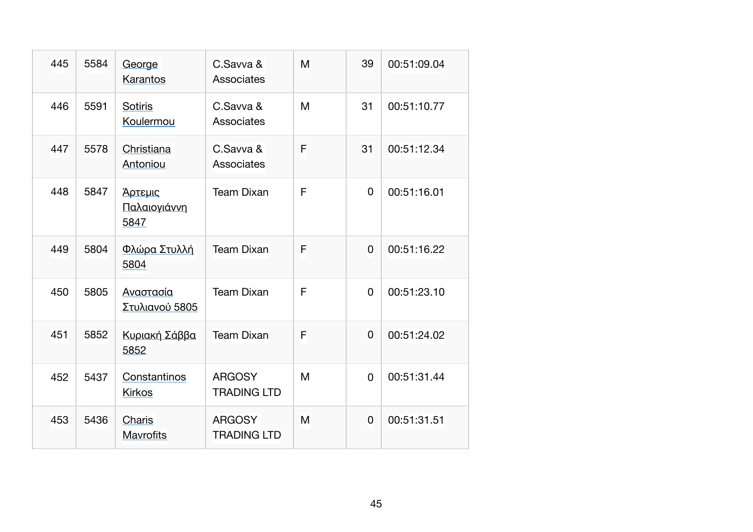| 445 | 5584 | George<br>Karantos              | C.Savva &<br>Associates             | M | 39       | 00:51:09.04 |
|-----|------|---------------------------------|-------------------------------------|---|----------|-------------|
| 446 | 5591 | Sotiris<br>Koulermou            | C.Savva &<br>Associates             | M | 31       | 00:51:10.77 |
| 447 | 5578 | Christiana<br>Antoniou          | C.Savva &<br>Associates             | F | 31       | 00:51:12.34 |
| 448 | 5847 | Άρτεμις<br>Παλαιογιάννη<br>5847 | <b>Team Dixan</b>                   | F | 0        | 00:51:16.01 |
| 449 | 5804 | Φλώρα Στυλλή<br>5804            | <b>Team Dixan</b>                   | F | 0        | 00:51:16.22 |
| 450 | 5805 | Αναστασία<br>Στυλιανού 5805     | <b>Team Dixan</b>                   | F | 0        | 00:51:23.10 |
| 451 | 5852 | Κυριακή Σάββα<br>5852           | <b>Team Dixan</b>                   | F | 0        | 00:51:24.02 |
| 452 | 5437 | Constantinos<br><b>Kirkos</b>   | <b>ARGOSY</b><br><b>TRADING LTD</b> | M | $\Omega$ | 00:51:31.44 |
| 453 | 5436 | Charis<br><b>Mavrofits</b>      | <b>ARGOSY</b><br><b>TRADING LTD</b> | M | 0        | 00:51:31.51 |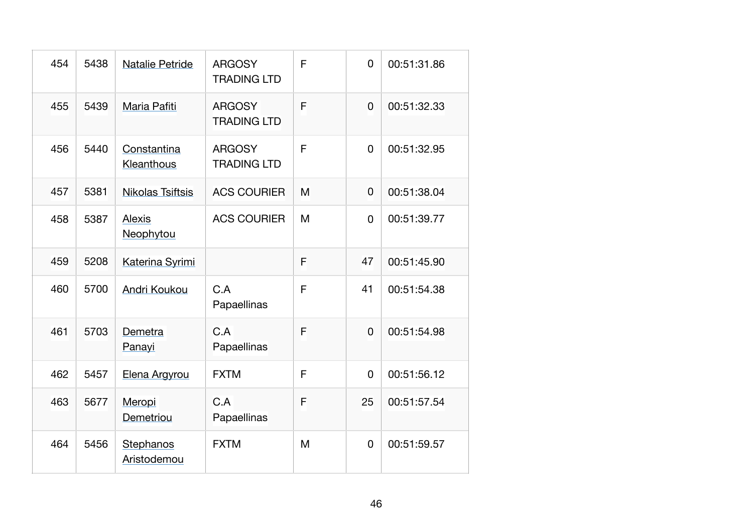| 454 | 5438 | <b>Natalie Petride</b>    | <b>ARGOSY</b><br><b>TRADING LTD</b> | F | $\overline{0}$ | 00:51:31.86 |
|-----|------|---------------------------|-------------------------------------|---|----------------|-------------|
| 455 | 5439 | Maria Pafiti              | <b>ARGOSY</b><br><b>TRADING LTD</b> | F | 0              | 00:51:32.33 |
| 456 | 5440 | Constantina<br>Kleanthous | <b>ARGOSY</b><br><b>TRADING LTD</b> | F | $\mathbf 0$    | 00:51:32.95 |
| 457 | 5381 | <b>Nikolas Tsiftsis</b>   | <b>ACS COURIER</b>                  | M | 0              | 00:51:38.04 |
| 458 | 5387 | Alexis<br>Neophytou       | <b>ACS COURIER</b>                  | M | 0              | 00:51:39.77 |
| 459 | 5208 | Katerina Syrimi           |                                     | F | 47             | 00:51:45.90 |
| 460 | 5700 | Andri Koukou              | C.A<br>Papaellinas                  | F | 41             | 00:51:54.38 |
| 461 | 5703 | Demetra<br>Panayi         | C.A<br>Papaellinas                  | F | 0              | 00:51:54.98 |
| 462 | 5457 | Elena Argyrou             | <b>FXTM</b>                         | F | 0              | 00:51:56.12 |
| 463 | 5677 | Meropi<br>Demetriou       | C.A<br>Papaellinas                  | F | 25             | 00:51:57.54 |
| 464 | 5456 | Stephanos<br>Aristodemou  | <b>FXTM</b>                         | M | $\mathbf 0$    | 00:51:59.57 |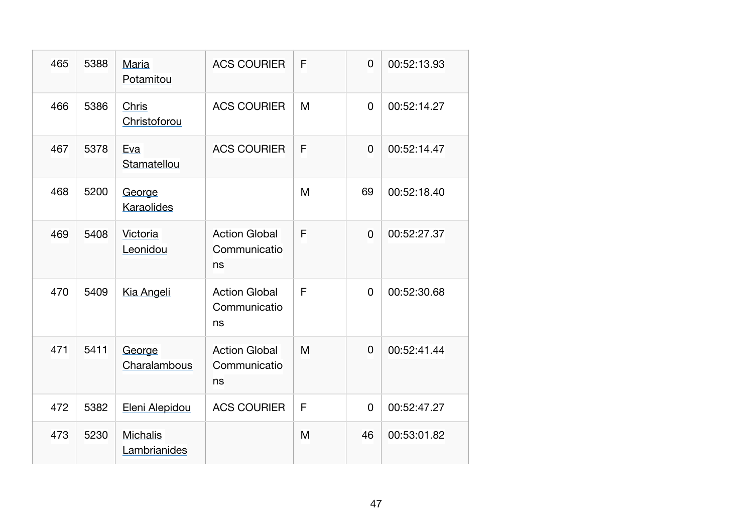| 465 | 5388 | Maria<br>Potamitou              | <b>ACS COURIER</b>                         | F | $\overline{0}$ | 00:52:13.93 |
|-----|------|---------------------------------|--------------------------------------------|---|----------------|-------------|
| 466 | 5386 | <b>Chris</b><br>Christoforou    | <b>ACS COURIER</b>                         | M | $\Omega$       | 00:52:14.27 |
| 467 | 5378 | Eva<br>Stamatellou              | <b>ACS COURIER</b>                         | F | $\overline{0}$ | 00:52:14.47 |
| 468 | 5200 | George<br>Karaolides            |                                            | M | 69             | 00:52:18.40 |
| 469 | 5408 | Victoria<br>Leonidou            | <b>Action Global</b><br>Communicatio<br>ns | F | $\overline{0}$ | 00:52:27.37 |
| 470 | 5409 | <b>Kia Angeli</b>               | <b>Action Global</b><br>Communicatio<br>ns | F | 0              | 00:52:30.68 |
| 471 | 5411 | George<br>Charalambous          | <b>Action Global</b><br>Communicatio<br>ns | M | 0              | 00:52:41.44 |
| 472 | 5382 | Eleni Alepidou                  | <b>ACS COURIER</b>                         | F | $\Omega$       | 00:52:47.27 |
| 473 | 5230 | <b>Michalis</b><br>Lambrianides |                                            | M | 46             | 00:53:01.82 |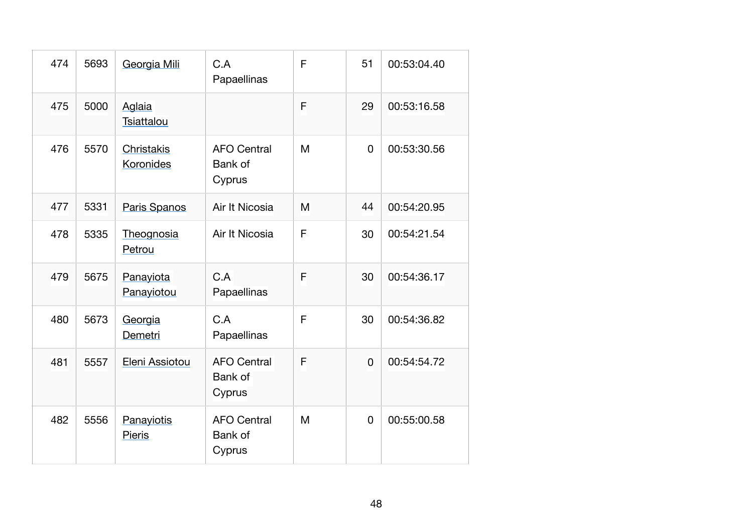| 474 | 5693 | Georgia Mili                | C.A<br>Papaellinas                             | F | 51             | 00:53:04.40 |
|-----|------|-----------------------------|------------------------------------------------|---|----------------|-------------|
| 475 | 5000 | Aglaia<br>Tsiattalou        |                                                | F | 29             | 00:53:16.58 |
| 476 | 5570 | Christakis<br>Koronides     | <b>AFO Central</b><br>Bank of<br>Cyprus        | M | 0              | 00:53:30.56 |
| 477 | 5331 | Paris Spanos                | Air It Nicosia                                 | M | 44             | 00:54:20.95 |
| 478 | 5335 | Theognosia<br>Petrou        | Air It Nicosia                                 | F | 30             | 00:54:21.54 |
| 479 | 5675 | Panayiota<br>Panayiotou     | C.A<br>Papaellinas                             | F | 30             | 00:54:36.17 |
| 480 | 5673 | Georgia<br>Demetri          | C.A<br>Papaellinas                             | F | 30             | 00:54:36.82 |
| 481 | 5557 | Eleni Assiotou              | <b>AFO Central</b><br><b>Bank of</b><br>Cyprus | F | $\overline{0}$ | 00:54:54.72 |
| 482 | 5556 | Panayiotis<br><b>Pieris</b> | <b>AFO Central</b><br>Bank of<br>Cyprus        | M | 0              | 00:55:00.58 |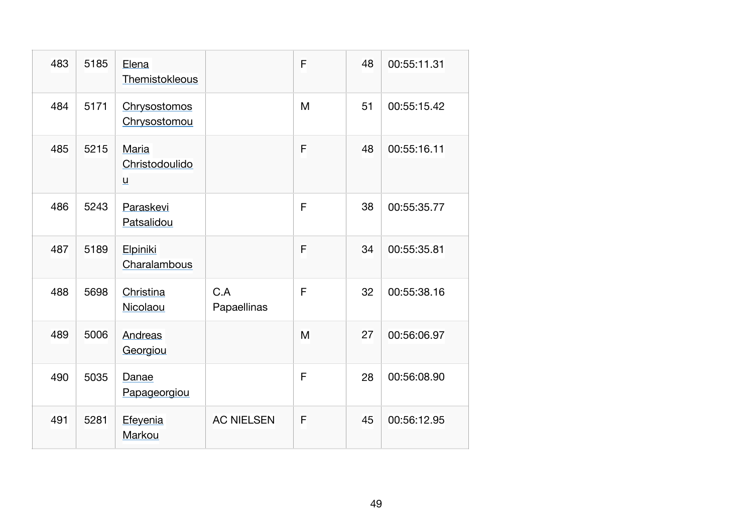| 483 | 5185 | Elena<br>Themistokleous                    |                    | F | 48 | 00:55:11.31 |
|-----|------|--------------------------------------------|--------------------|---|----|-------------|
| 484 | 5171 | Chrysostomos<br>Chrysostomou               |                    | M | 51 | 00:55:15.42 |
| 485 | 5215 | Maria<br>Christodoulido<br>$\underline{u}$ |                    | F | 48 | 00:55:16.11 |
| 486 | 5243 | Paraskevi<br>Patsalidou                    |                    | F | 38 | 00:55:35.77 |
| 487 | 5189 | Elpiniki<br>Charalambous                   |                    | F | 34 | 00:55:35.81 |
| 488 | 5698 | Christina<br>Nicolaou                      | C.A<br>Papaellinas | F | 32 | 00:55:38.16 |
| 489 | 5006 | Andreas<br>Georgiou                        |                    | M | 27 | 00:56:06.97 |
| 490 | 5035 | Danae<br>Papageorgiou                      |                    | F | 28 | 00:56:08.90 |
| 491 | 5281 | Efeyenia<br>Markou                         | <b>AC NIELSEN</b>  | F | 45 | 00:56:12.95 |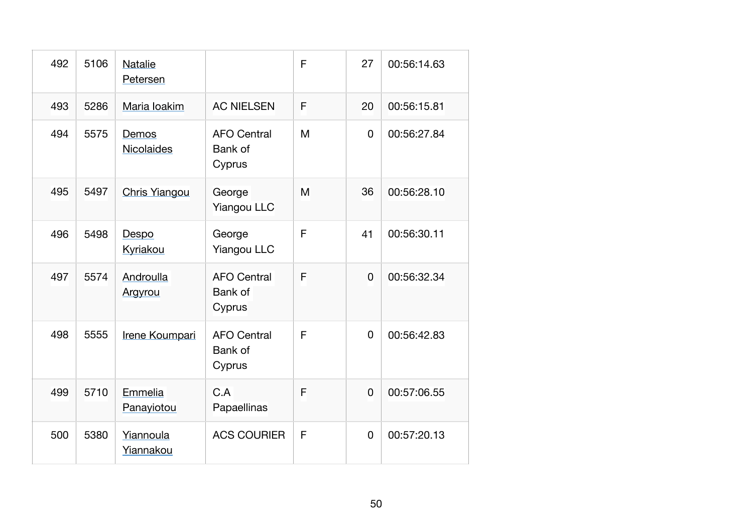| 492 | 5106 | <b>Natalie</b><br>Petersen |                                         | F | 27             | 00:56:14.63 |
|-----|------|----------------------------|-----------------------------------------|---|----------------|-------------|
| 493 | 5286 | Maria Ioakim               | <b>AC NIELSEN</b>                       | F | 20             | 00:56:15.81 |
| 494 | 5575 | Demos<br>Nicolaides        | <b>AFO Central</b><br>Bank of<br>Cyprus | M | 0              | 00:56:27.84 |
| 495 | 5497 | <b>Chris Yiangou</b>       | George<br><b>Yiangou LLC</b>            | M | 36             | 00:56:28.10 |
| 496 | 5498 | Despo<br>Kyriakou          | George<br><b>Yiangou LLC</b>            | F | 41             | 00:56:30.11 |
| 497 | 5574 | Androulla<br>Argyrou       | <b>AFO Central</b><br>Bank of<br>Cyprus | F | 0              | 00:56:32.34 |
| 498 | 5555 | Irene Koumpari             | <b>AFO Central</b><br>Bank of<br>Cyprus | F | 0              | 00:56:42.83 |
| 499 | 5710 | Emmelia<br>Panayiotou      | C.A<br>Papaellinas                      | F | $\overline{0}$ | 00:57:06.55 |
| 500 | 5380 | Yiannoula<br>Yiannakou     | <b>ACS COURIER</b>                      | F | 0              | 00:57:20.13 |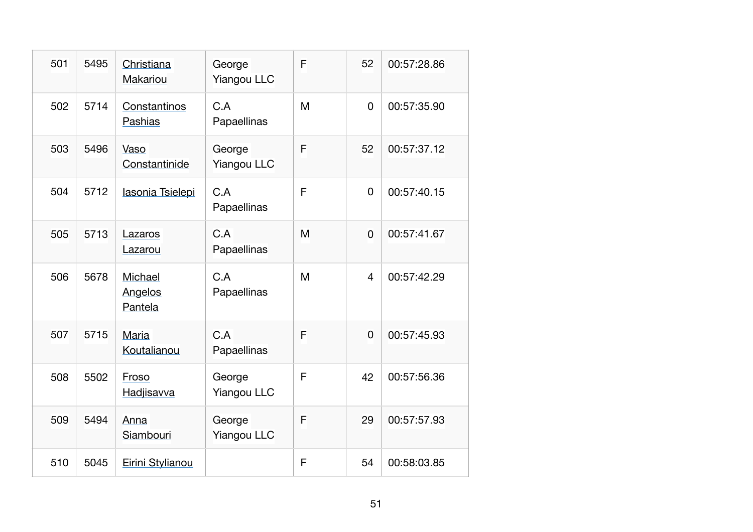| 501 | 5495 | Christiana<br><b>Makariou</b> | George<br><b>Yiangou LLC</b> | F | 52             | 00:57:28.86 |
|-----|------|-------------------------------|------------------------------|---|----------------|-------------|
| 502 | 5714 | Constantinos<br>Pashias       | C.A<br>Papaellinas           | M | 0              | 00:57:35.90 |
| 503 | 5496 | Vaso<br>Constantinide         | George<br><b>Yiangou LLC</b> | F | 52             | 00:57:37.12 |
| 504 | 5712 | lasonia Tsielepi              | C.A<br>Papaellinas           | F | 0              | 00:57:40.15 |
| 505 | 5713 | Lazaros<br>Lazarou            | C.A<br>Papaellinas           | M | 0              | 00:57:41.67 |
| 506 | 5678 | Michael<br>Angelos<br>Pantela | C.A<br>Papaellinas           | M | $\overline{4}$ | 00:57:42.29 |
| 507 | 5715 | Maria<br>Koutalianou          | C.A<br>Papaellinas           | F | 0              | 00:57:45.93 |
| 508 | 5502 | Froso<br>Hadjisavva           | George<br><b>Yiangou LLC</b> | F | 42             | 00:57:56.36 |
| 509 | 5494 | Anna<br>Siambouri             | George<br><b>Yiangou LLC</b> | F | 29             | 00:57:57.93 |
| 510 | 5045 | Eirini Stylianou              |                              | F | 54             | 00:58:03.85 |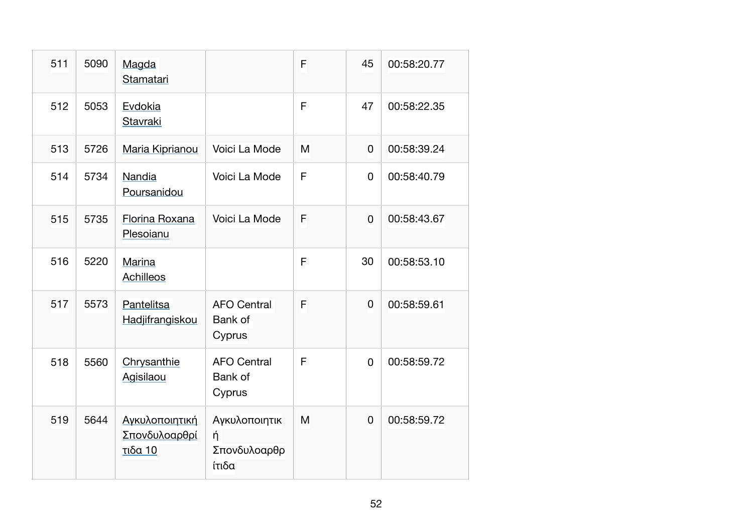| 511 | 5090 | Magda<br>Stamatari                         |                                                | F | 45             | 00:58:20.77 |
|-----|------|--------------------------------------------|------------------------------------------------|---|----------------|-------------|
| 512 | 5053 | Evdokia<br>Stavraki                        |                                                | F | 47             | 00:58:22.35 |
| 513 | 5726 | Maria Kiprianou                            | Voici La Mode                                  | M | 0              | 00:58:39.24 |
| 514 | 5734 | Nandia<br>Poursanidou                      | Voici La Mode                                  | F | 0              | 00:58:40.79 |
| 515 | 5735 | Florina Roxana<br>Plesoianu                | Voici La Mode                                  | F | 0              | 00:58:43.67 |
| 516 | 5220 | Marina<br><b>Achilleos</b>                 |                                                | F | 30             | 00:58:53.10 |
| 517 | 5573 | Pantelitsa<br>Hadjifrangiskou              | <b>AFO Central</b><br><b>Bank of</b><br>Cyprus | F | 0              | 00:58:59.61 |
| 518 | 5560 | Chrysanthie<br>Agisilaou                   | <b>AFO Central</b><br>Bank of<br>Cyprus        | F | 0              | 00:58:59.72 |
| 519 | 5644 | Αγκυλοποιητική<br>Σπονδυλοαρθρί<br>τιδα 10 | Αγκυλοποιητικ<br>ή<br>Σπονδυλοαρθρ<br>ίτιδα    | M | $\overline{0}$ | 00:58:59.72 |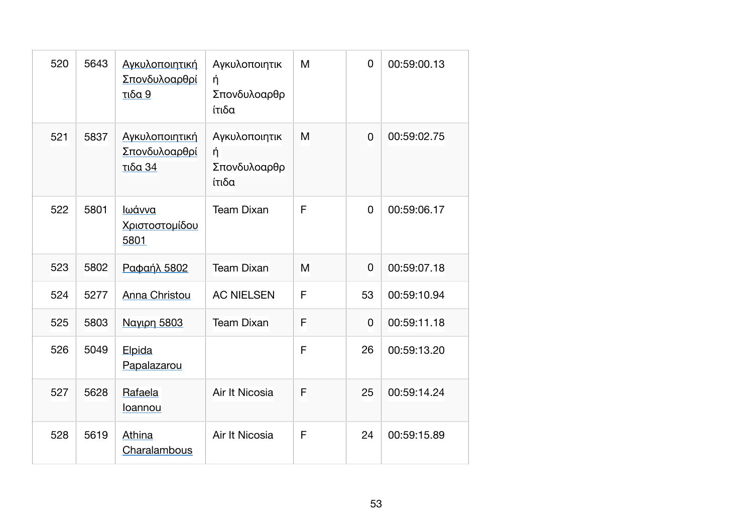| 520 | 5643 | Αγκυλοποιητική<br>Σπονδυλοαρθρί<br>τιδα 9  | Αγκυλοποιητικ<br>ή<br>Σπονδυλοαρθρ<br>ίτιδα | M | 0           | 00:59:00.13 |
|-----|------|--------------------------------------------|---------------------------------------------|---|-------------|-------------|
| 521 | 5837 | Αγκυλοποιητική<br>Σπονδυλοαρθρί<br>τιδα 34 | Αγκυλοποιητικ<br>ή<br>Σπονδυλοαρθρ<br>ίτιδα | M | $\mathbf 0$ | 00:59:02.75 |
| 522 | 5801 | Ιωάννα<br><u>Χριστοστομίδου</u><br>5801    | <b>Team Dixan</b>                           | F | $\mathbf 0$ | 00:59:06.17 |
| 523 | 5802 | Ραφαήλ 5802                                | <b>Team Dixan</b>                           | M | 0           | 00:59:07.18 |
| 524 | 5277 | Anna Christou                              | <b>AC NIELSEN</b>                           | F | 53          | 00:59:10.94 |
| 525 | 5803 | <b>Ναγιρη 5803</b>                         | <b>Team Dixan</b>                           | F | 0           | 00:59:11.18 |
| 526 | 5049 | Elpida<br>Papalazarou                      |                                             | F | 26          | 00:59:13.20 |
| 527 | 5628 | Rafaela<br>loannou                         | Air It Nicosia                              | F | 25          | 00:59:14.24 |
| 528 | 5619 | Athina<br>Charalambous                     | Air It Nicosia                              | F | 24          | 00:59:15.89 |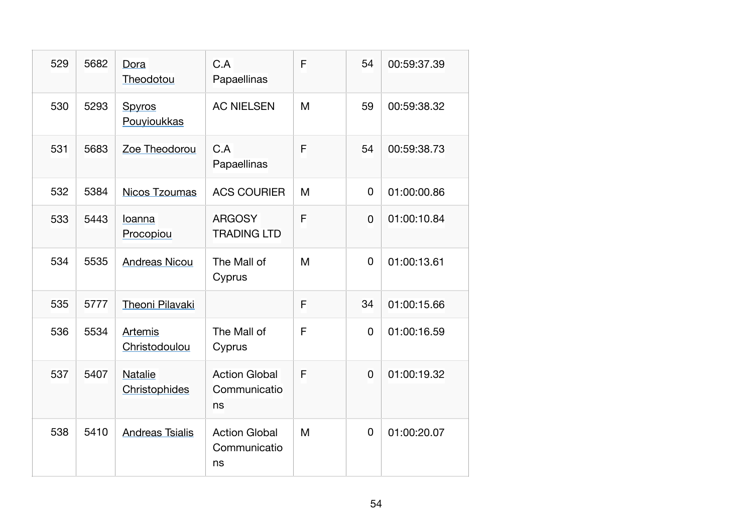| 529 | 5682 | Dora<br>Theodotou               | C.A<br>Papaellinas                         | F | 54          | 00:59:37.39 |
|-----|------|---------------------------------|--------------------------------------------|---|-------------|-------------|
| 530 | 5293 | Spyros<br>Pouyioukkas           | <b>AC NIELSEN</b>                          | M | 59          | 00:59:38.32 |
| 531 | 5683 | Zoe Theodorou                   | C.A<br>Papaellinas                         | F | 54          | 00:59:38.73 |
| 532 | 5384 | <b>Nicos Tzoumas</b>            | <b>ACS COURIER</b>                         | M | $\mathbf 0$ | 01:00:00.86 |
| 533 | 5443 | Ioanna<br>Procopiou             | <b>ARGOSY</b><br><b>TRADING LTD</b>        | F | 0           | 01:00:10.84 |
| 534 | 5535 | <b>Andreas Nicou</b>            | The Mall of<br>Cyprus                      | M | $\Omega$    | 01:00:13.61 |
| 535 | 5777 | Theoni Pilavaki                 |                                            | F | 34          | 01:00:15.66 |
| 536 | 5534 | Artemis<br>Christodoulou        | The Mall of<br>Cyprus                      | F | 0           | 01:00:16.59 |
| 537 | 5407 | <b>Natalie</b><br>Christophides | <b>Action Global</b><br>Communicatio<br>ns | F | 0           | 01:00:19.32 |
| 538 | 5410 | <b>Andreas Tsialis</b>          | <b>Action Global</b><br>Communicatio<br>ns | M | 0           | 01:00:20.07 |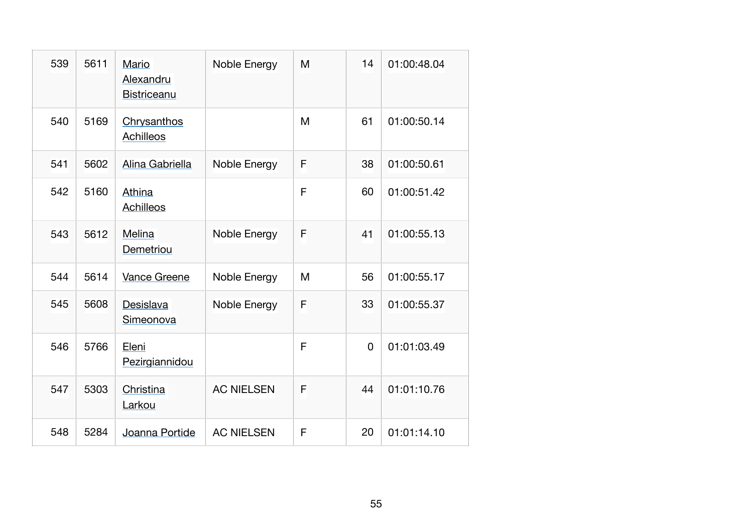| 539 | 5611 | Mario<br>Alexandru<br><b>Bistriceanu</b> | Noble Energy      | M | 14          | 01:00:48.04 |
|-----|------|------------------------------------------|-------------------|---|-------------|-------------|
| 540 | 5169 | Chrysanthos<br>Achilleos                 |                   | M | 61          | 01:00:50.14 |
| 541 | 5602 | Alina Gabriella                          | Noble Energy      | F | 38          | 01:00:50.61 |
| 542 | 5160 | Athina<br>Achilleos                      |                   | F | 60          | 01:00:51.42 |
| 543 | 5612 | Melina<br>Demetriou                      | Noble Energy      | F | 41          | 01:00:55.13 |
| 544 | 5614 | Vance Greene                             | Noble Energy      | M | 56          | 01:00:55.17 |
| 545 | 5608 | Desislava<br>Simeonova                   | Noble Energy      | F | 33          | 01:00:55.37 |
| 546 | 5766 | Eleni<br>Pezirgiannidou                  |                   | F | $\mathbf 0$ | 01:01:03.49 |
| 547 | 5303 | Christina<br>Larkou                      | <b>AC NIELSEN</b> | F | 44          | 01:01:10.76 |
| 548 | 5284 | Joanna Portide                           | <b>AC NIELSEN</b> | F | 20          | 01:01:14.10 |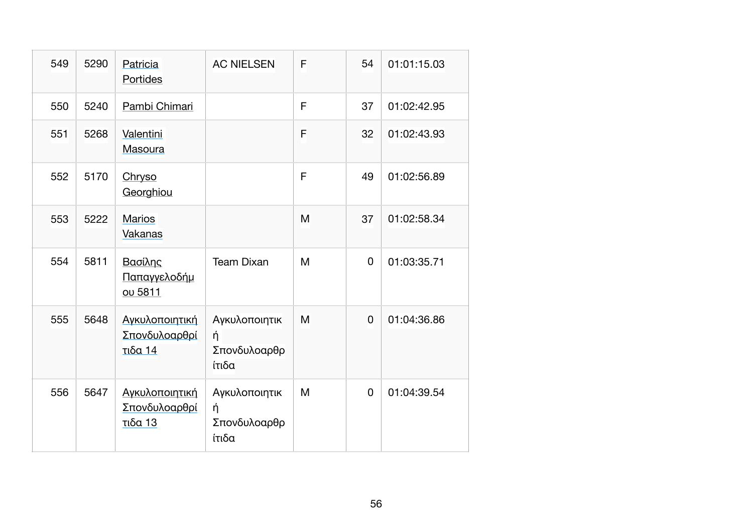| 549 | 5290 | Patricia<br>Portides                                     | <b>AC NIELSEN</b>                           | F | 54 | 01:01:15.03 |
|-----|------|----------------------------------------------------------|---------------------------------------------|---|----|-------------|
| 550 | 5240 | Pambi Chimari                                            |                                             | F | 37 | 01:02:42.95 |
| 551 | 5268 | Valentini<br>Masoura                                     |                                             | F | 32 | 01:02:43.93 |
| 552 | 5170 | Chryso<br>Georghiou                                      |                                             | F | 49 | 01:02:56.89 |
| 553 | 5222 | <b>Marios</b><br>Vakanas                                 |                                             | M | 37 | 01:02:58.34 |
| 554 | 5811 | Βασίλης<br><u>Παπαγγελοδήμ</u><br>ου 5811                | <b>Team Dixan</b>                           | M | 0  | 01:03:35.71 |
| 555 | 5648 | Αγκυλοποιητική<br>Σπονδυλοαρθρί<br><b>τιδα 14</b>        | Αγκυλοποιητικ<br>ή<br>Σπονδυλοαρθρ<br>ίτιδα | M | 0  | 01:04:36.86 |
| 556 | 5647 | Αγκυλοποιητική<br><u>Σπονδυλοαρθρί</u><br><u>τιδα 13</u> | Αγκυλοποιητικ<br>ή<br>Σπονδυλοαρθρ<br>ίτιδα | M | 0  | 01:04:39.54 |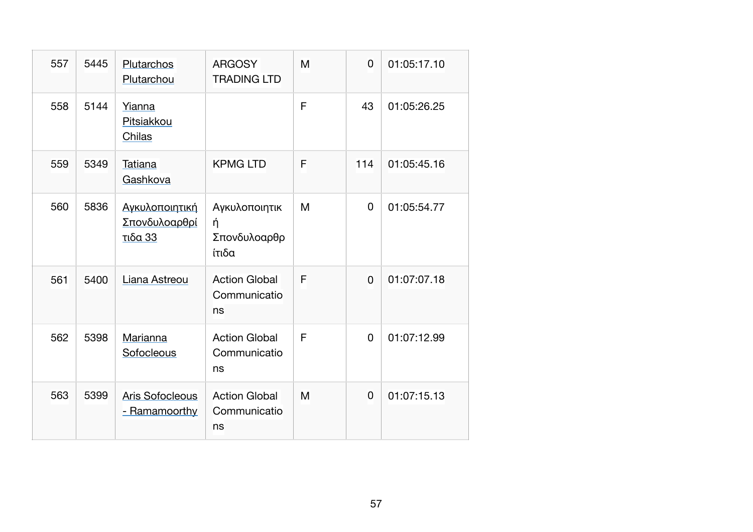| 557 | 5445 | Plutarchos<br>Plutarchou                          | <b>ARGOSY</b><br><b>TRADING LTD</b>         | M | 0        | 01:05:17.10 |
|-----|------|---------------------------------------------------|---------------------------------------------|---|----------|-------------|
| 558 | 5144 | Yianna<br>Pitsiakkou<br>Chilas                    |                                             | F | 43       | 01:05:26.25 |
| 559 | 5349 | Tatiana<br>Gashkova                               | <b>KPMG LTD</b>                             | F | 114      | 01:05:45.16 |
| 560 | 5836 | Αγκυλοποιητική<br>Σπονδυλοαρθρί<br><b>τιδα 33</b> | Αγκυλοποιητικ<br>ή<br>Σπονδυλοαρθρ<br>ίτιδα | M | 0        | 01:05:54.77 |
| 561 | 5400 | Liana Astreou                                     | <b>Action Global</b><br>Communicatio<br>ns  | F | 0        | 01:07:07.18 |
| 562 | 5398 | Marianna<br>Sofocleous                            | <b>Action Global</b><br>Communicatio<br>ns  | F | $\Omega$ | 01:07:12.99 |
| 563 | 5399 | <b>Aris Sofocleous</b><br>- Ramamoorthy           | <b>Action Global</b><br>Communicatio<br>ns  | M | $\Omega$ | 01:07:15.13 |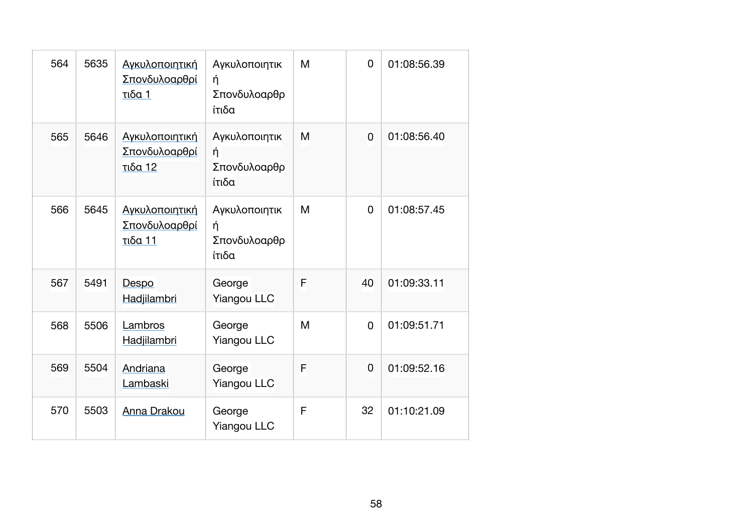| 564 | 5635 | Αγκυλοποιητική<br>Σπονδυλοαρθρί<br>τιδα 1  | Αγκυλοποιητικ<br>ή<br>Σπονδυλοαρθρ<br>ίτιδα | M | 0  | 01:08:56.39 |
|-----|------|--------------------------------------------|---------------------------------------------|---|----|-------------|
| 565 | 5646 | Αγκυλοποιητική<br>Σπονδυλοαρθρί<br>τιδα 12 | Αγκυλοποιητικ<br>ή<br>Σπονδυλοαρθρ<br>ίτιδα | M | 0  | 01:08:56.40 |
| 566 | 5645 | Αγκυλοποιητική<br>Σπονδυλοαρθρί<br>τιδα 11 | Αγκυλοποιητικ<br>ή<br>Σπονδυλοαρθρ<br>ίτιδα | M | 0  | 01:08:57.45 |
| 567 | 5491 | Despo<br>Hadjilambri                       | George<br><b>Yiangou LLC</b>                | F | 40 | 01:09:33.11 |
| 568 | 5506 | Lambros<br>Hadjilambri                     | George<br><b>Yiangou LLC</b>                | M | 0  | 01:09:51.71 |
| 569 | 5504 | Andriana<br>Lambaski                       | George<br><b>Yiangou LLC</b>                | F | 0  | 01:09:52.16 |
| 570 | 5503 | <b>Anna Drakou</b>                         | George<br><b>Yiangou LLC</b>                | F | 32 | 01:10:21.09 |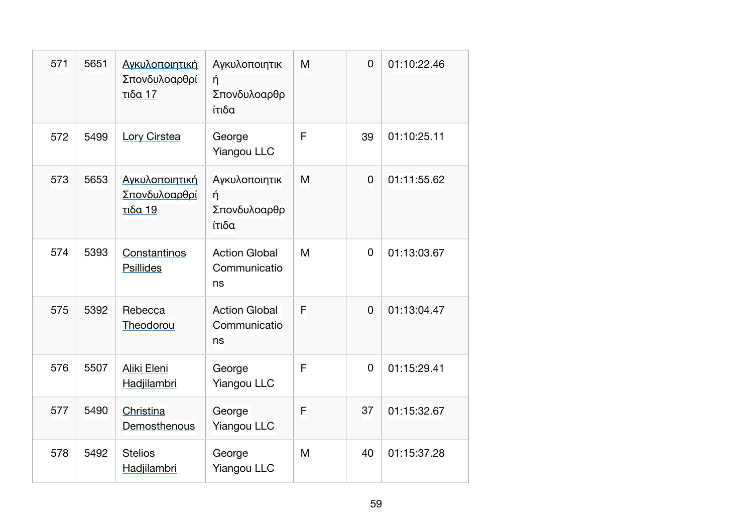| 571 | 5651 | Αγκυλοποιητική<br>Σπονδυλοαρθρί<br>τιδα 17 | Αγκυλοποιητικ<br>ή<br>Σπονδυλοαρθρ<br>ίτιδα | M | $\overline{0}$ | 01:10:22.46 |
|-----|------|--------------------------------------------|---------------------------------------------|---|----------------|-------------|
| 572 | 5499 | Lory Cirstea                               | George<br><b>Yiangou LLC</b>                | F | 39             | 01:10:25.11 |
| 573 | 5653 | Αγκυλοποιητική<br>Σπονδυλοαρθρί<br>τιδα 19 | Αγκυλοποιητικ<br>ή<br>Σπονδυλοαρθρ<br>ίτιδα | M | $\overline{0}$ | 01:11:55.62 |
| 574 | 5393 | Constantinos<br><b>Psillides</b>           | <b>Action Global</b><br>Communicatio<br>ns  | M | $\Omega$       | 01:13:03.67 |
| 575 | 5392 | Rebecca<br>Theodorou                       | <b>Action Global</b><br>Communicatio<br>ns  | F | $\overline{0}$ | 01:13:04.47 |
| 576 | 5507 | Aliki Eleni<br>Hadjilambri                 | George<br><b>Yiangou LLC</b>                | F | $\Omega$       | 01:15:29.41 |
| 577 | 5490 | Christina<br>Demosthenous                  | George<br><b>Yiangou LLC</b>                | F | 37             | 01:15:32.67 |
| 578 | 5492 | <b>Stelios</b><br>Hadjilambri              | George<br><b>Yiangou LLC</b>                | M | 40             | 01:15:37.28 |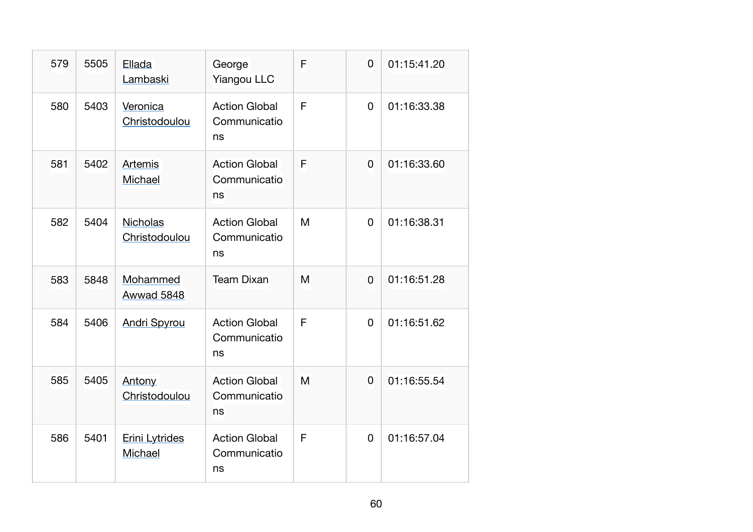| 579 | 5505 | Ellada<br>Lambaski        | George<br><b>Yiangou LLC</b>               | F | $\overline{0}$ | 01:15:41.20 |
|-----|------|---------------------------|--------------------------------------------|---|----------------|-------------|
| 580 | 5403 | Veronica<br>Christodoulou | <b>Action Global</b><br>Communicatio<br>ns | F | 0              | 01:16:33.38 |
| 581 | 5402 | Artemis<br>Michael        | <b>Action Global</b><br>Communicatio<br>ns | F | 0              | 01:16:33.60 |
| 582 | 5404 | Nicholas<br>Christodoulou | <b>Action Global</b><br>Communicatio<br>ns | M | 0              | 01:16:38.31 |
| 583 | 5848 | Mohammed<br>Awwad 5848    | <b>Team Dixan</b>                          | M | $\overline{0}$ | 01:16:51.28 |
| 584 | 5406 | <b>Andri Spyrou</b>       | <b>Action Global</b><br>Communicatio<br>ns | F | 0              | 01:16:51.62 |
| 585 | 5405 | Antony<br>Christodoulou   | <b>Action Global</b><br>Communicatio<br>ns | M | 0              | 01:16:55.54 |
| 586 | 5401 | Erini Lytrides<br>Michael | <b>Action Global</b><br>Communicatio<br>ns | F | 0              | 01:16:57.04 |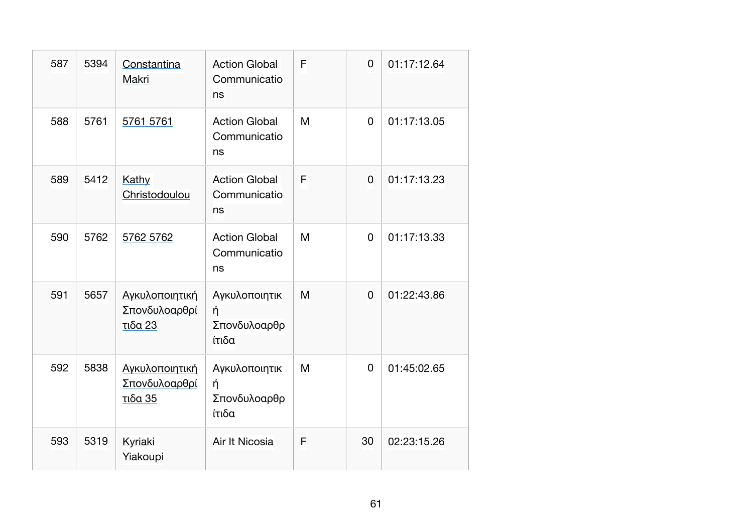| 587 | 5394 | Constantina<br>Makri                       | <b>Action Global</b><br>Communicatio<br>ns  | F | $\overline{0}$ | 01:17:12.64 |
|-----|------|--------------------------------------------|---------------------------------------------|---|----------------|-------------|
| 588 | 5761 | 5761 5761                                  | <b>Action Global</b><br>Communicatio<br>ns  | M | 0              | 01:17:13.05 |
| 589 | 5412 | Kathy<br>Christodoulou                     | <b>Action Global</b><br>Communicatio<br>ns  | F | $\overline{0}$ | 01:17:13.23 |
| 590 | 5762 | 5762 5762                                  | <b>Action Global</b><br>Communicatio<br>ns  | M | $\Omega$       | 01:17:13.33 |
| 591 | 5657 | Αγκυλοποιητική<br>Σπονδυλοαρθρί<br>τιδα 23 | Αγκυλοποιητικ<br>ή<br>Σπονδυλοαρθρ<br>ίτιδα | M | 0              | 01:22:43.86 |
| 592 | 5838 | Αγκυλοποιητική<br>Σπονδυλοαρθρί<br>τιδα 35 | Αγκυλοποιητικ<br>ή<br>Σπονδυλοαρθρ<br>ίτιδα | M | 0              | 01:45:02.65 |
| 593 | 5319 | Kyriaki<br>Yiakoupi                        | Air It Nicosia                              | F | 30             | 02:23:15.26 |